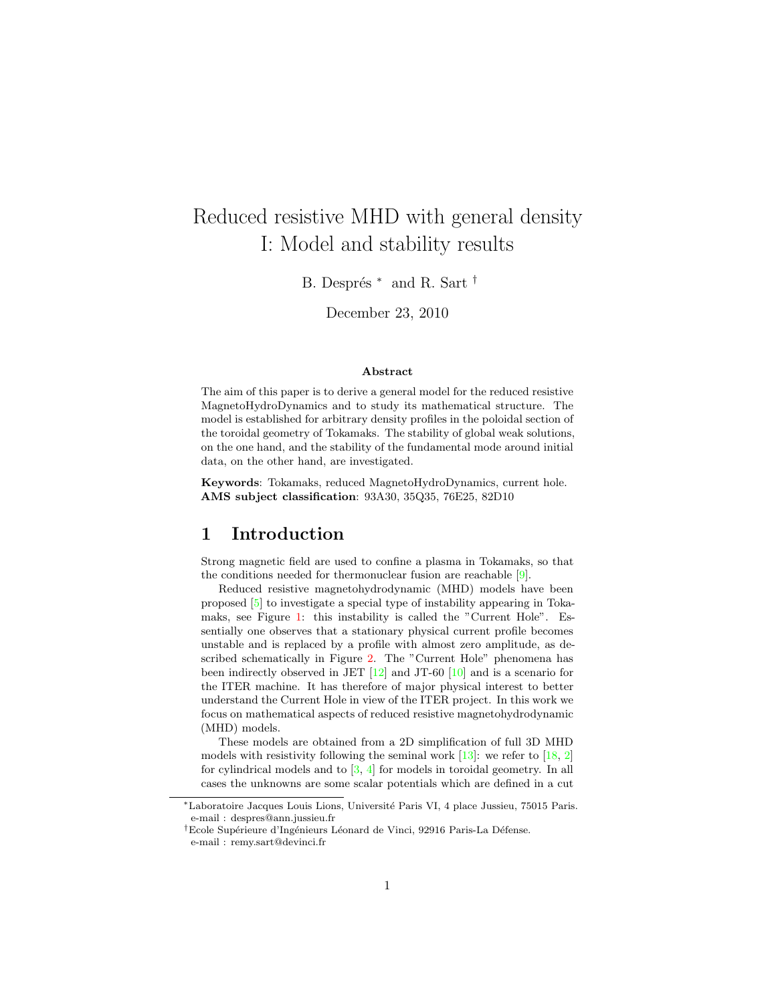# Reduced resistive MHD with general density I: Model and stability results

B. Després <sup>∗</sup> and R. Sart <sup>†</sup>

December 23, 2010

#### Abstract

The aim of this paper is to derive a general model for the reduced resistive MagnetoHydroDynamics and to study its mathematical structure. The model is established for arbitrary density profiles in the poloidal section of the toroidal geometry of Tokamaks. The stability of global weak solutions, on the one hand, and the stability of the fundamental mode around initial data, on the other hand, are investigated.

Keywords: Tokamaks, reduced MagnetoHydroDynamics, current hole. AMS subject classification: 93A30, 35Q35, 76E25, 82D10

## 1 Introduction

Strong magnetic field are used to confine a plasma in Tokamaks, so that the conditions needed for thermonuclear fusion are reachable [\[9\]](#page-26-0).

Reduced resistive magnetohydrodynamic (MHD) models have been proposed [\[5\]](#page-26-1) to investigate a special type of instability appearing in Tokamaks, see Figure [1:](#page-1-0) this instability is called the "Current Hole". Essentially one observes that a stationary physical current profile becomes unstable and is replaced by a profile with almost zero amplitude, as described schematically in Figure [2.](#page-1-1) The "Current Hole" phenomena has been indirectly observed in JET [\[12\]](#page-26-2) and JT-60 [\[10\]](#page-26-3) and is a scenario for the ITER machine. It has therefore of major physical interest to better understand the Current Hole in view of the ITER project. In this work we focus on mathematical aspects of reduced resistive magnetohydrodynamic (MHD) models.

These models are obtained from a 2D simplification of full 3D MHD models with resistivity following the seminal work  $[13]$ : we refer to  $[18, 2]$  $[18, 2]$ for cylindrical models and to  $[3, 4]$  $[3, 4]$  for models in toroidal geometry. In all cases the unknowns are some scalar potentials which are defined in a cut

<sup>∗</sup>Laboratoire Jacques Louis Lions, Universit´e Paris VI, 4 place Jussieu, 75015 Paris. e-mail : despres@ann.jussieu.fr

<sup>&</sup>lt;sup>†</sup>Ecole Supérieure d'Ingénieurs Léonard de Vinci, 92916 Paris-La Défense.

e-mail : remy.sart@devinci.fr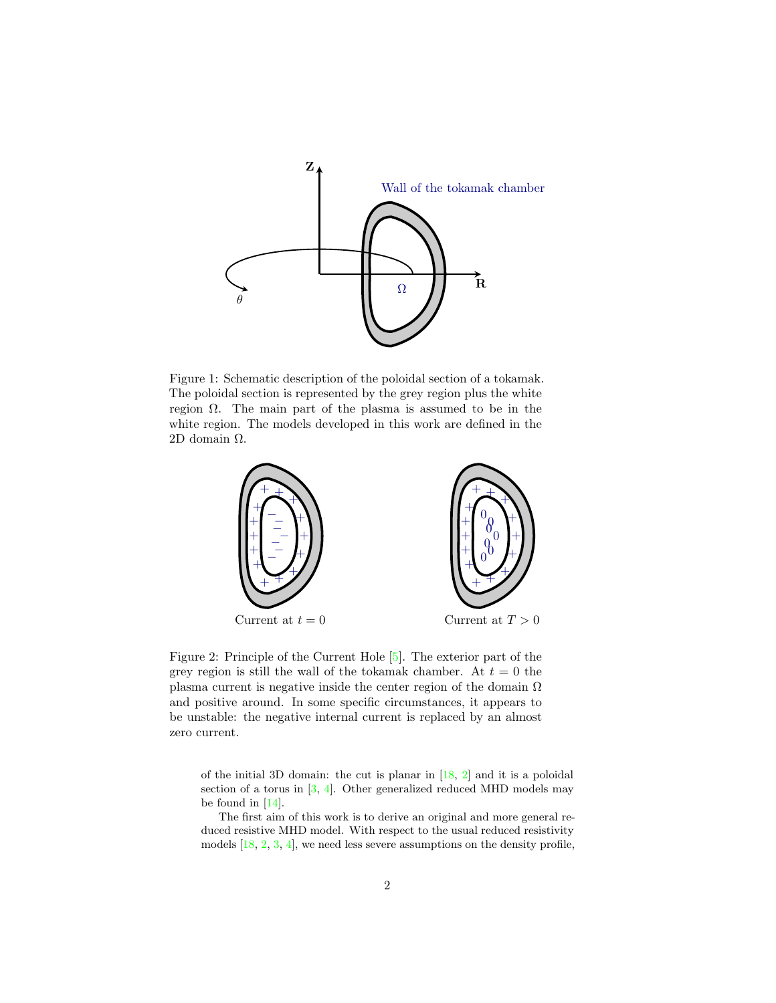

<span id="page-1-0"></span>Figure 1: Schematic description of the poloidal section of a tokamak. The poloidal section is represented by the grey region plus the white region  $Ω$ . The main part of the plasma is assumed to be in the white region. The models developed in this work are defined in the 2D domain Ω.



<span id="page-1-1"></span>Figure 2: Principle of the Current Hole [\[5\]](#page-26-1). The exterior part of the grey region is still the wall of the tokamak chamber. At  $t = 0$  the plasma current is negative inside the center region of the domain  $\Omega$ and positive around. In some specific circumstances, it appears to be unstable: the negative internal current is replaced by an almost zero current.

of the initial 3D domain: the cut is planar in [\[18,](#page-27-1) [2\]](#page-26-4) and it is a poloidal section of a torus in  $[3, 4]$  $[3, 4]$ . Other generalized reduced MHD models may be found in [\[14\]](#page-27-2).

The first aim of this work is to derive an original and more general reduced resistive MHD model. With respect to the usual reduced resistivity models [\[18,](#page-27-1) [2,](#page-26-4) [3,](#page-26-5) [4\]](#page-26-6), we need less severe assumptions on the density profile,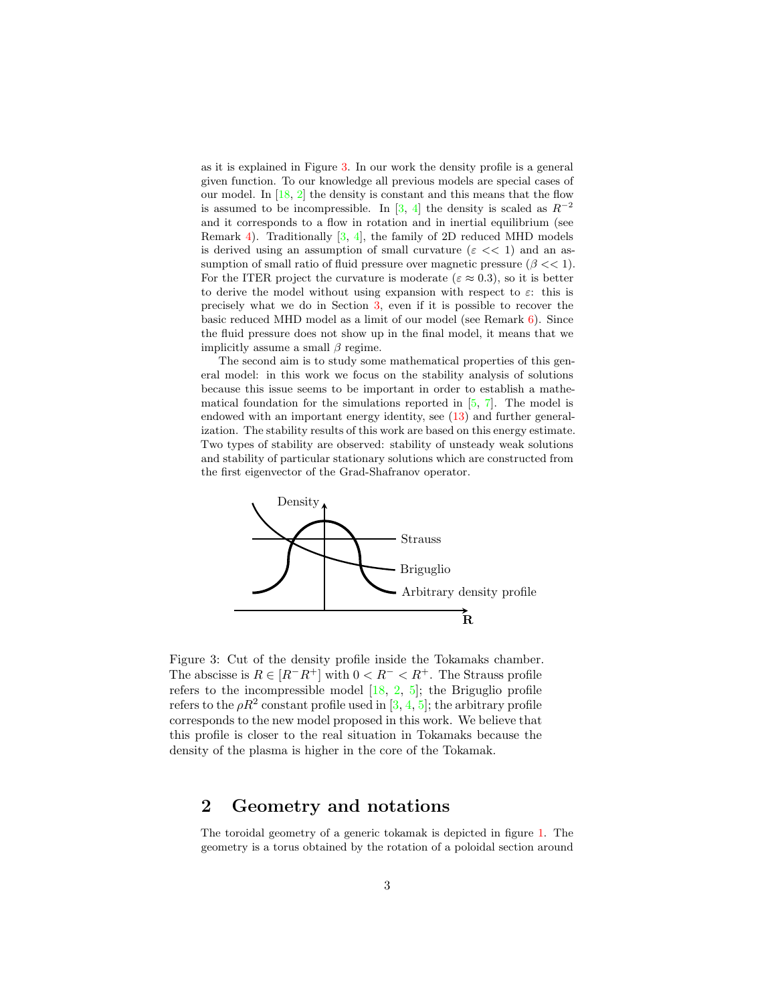as it is explained in Figure [3.](#page-2-0) In our work the density profile is a general given function. To our knowledge all previous models are special cases of our model. In  $[18, 2]$  $[18, 2]$  the density is constant and this means that the flow is assumed to be incompressible. In [\[3,](#page-26-5) [4\]](#page-26-6) the density is scaled as  $R^{-2}$ and it corresponds to a flow in rotation and in inertial equilibrium (see Remark [4\)](#page-8-0). Traditionally [\[3,](#page-26-5) [4\]](#page-26-6), the family of 2D reduced MHD models is derived using an assumption of small curvature ( $\varepsilon \ll 1$ ) and an assumption of small ratio of fluid pressure over magnetic pressure  $(\beta \ll 1)$ . For the ITER project the curvature is moderate ( $\varepsilon \approx 0.3$ ), so it is better to derive the model without using expansion with respect to  $\varepsilon$ : this is precisely what we do in Section [3,](#page-4-0) even if it is possible to recover the basic reduced MHD model as a limit of our model (see Remark [6\)](#page-9-0). Since the fluid pressure does not show up in the final model, it means that we implicitly assume a small  $\beta$  regime.

The second aim is to study some mathematical properties of this general model: in this work we focus on the stability analysis of solutions because this issue seems to be important in order to establish a mathematical foundation for the simulations reported in  $[5, 7]$  $[5, 7]$ . The model is endowed with an important energy identity, see [\(13\)](#page-11-0) and further generalization. The stability results of this work are based on this energy estimate. Two types of stability are observed: stability of unsteady weak solutions and stability of particular stationary solutions which are constructed from the first eigenvector of the Grad-Shafranov operator.



<span id="page-2-0"></span>Figure 3: Cut of the density profile inside the Tokamaks chamber. The abscisse is  $R \in [R^-R^+]$  with  $0 < R^- < R^+$ . The Strauss profile refers to the incompressible model  $[18, 2, 5]$  $[18, 2, 5]$  $[18, 2, 5]$  $[18, 2, 5]$ ; the Briguglio profile refers to the  $\rho R^2$  constant profile used in [\[3,](#page-26-5) [4,](#page-26-6) [5\]](#page-26-1); the arbitrary profile corresponds to the new model proposed in this work. We believe that this profile is closer to the real situation in Tokamaks because the density of the plasma is higher in the core of the Tokamak.

## 2 Geometry and notations

The toroidal geometry of a generic tokamak is depicted in figure [1.](#page-1-0) The geometry is a torus obtained by the rotation of a poloidal section around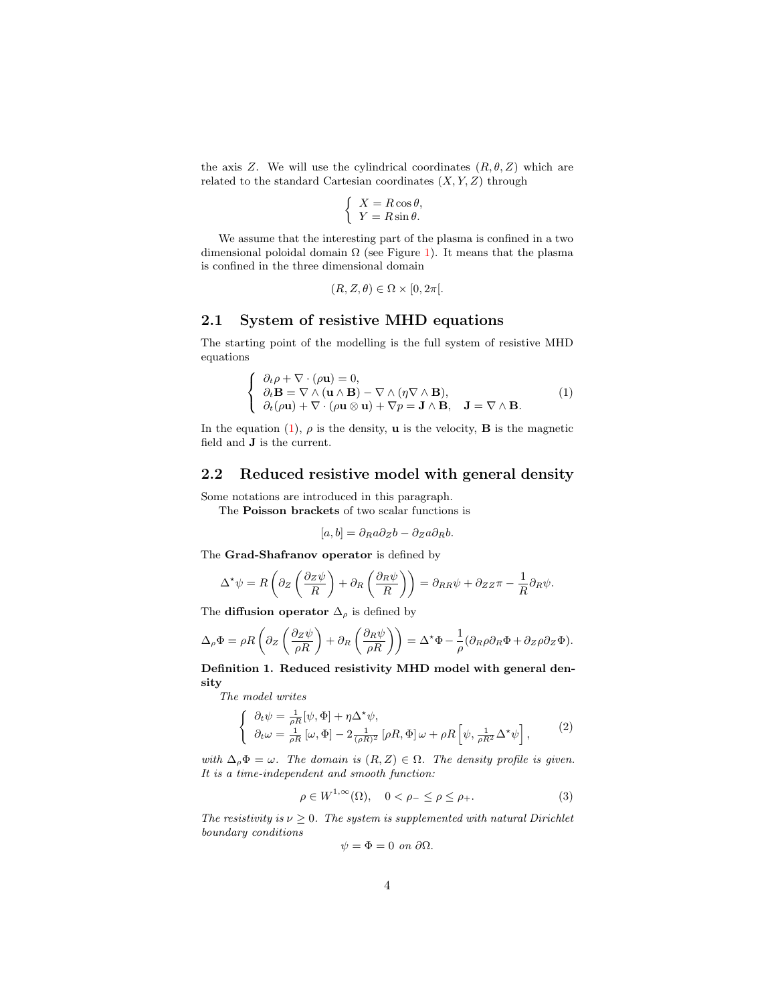the axis Z. We will use the cylindrical coordinates  $(R, \theta, Z)$  which are related to the standard Cartesian coordinates  $(X, Y, Z)$  through

$$
\begin{cases}\nX = R\cos\theta, \\
Y = R\sin\theta.\n\end{cases}
$$

We assume that the interesting part of the plasma is confined in a two dimensional poloidal domain  $\Omega$  (see Figure [1\)](#page-1-0). It means that the plasma is confined in the three dimensional domain

$$
(R, Z, \theta) \in \Omega \times [0, 2\pi[.
$$

### 2.1 System of resistive MHD equations

The starting point of the modelling is the full system of resistive MHD equations

$$
\begin{cases}\n\partial_t \rho + \nabla \cdot (\rho \mathbf{u}) = 0, \\
\partial_t \mathbf{B} = \nabla \wedge (\mathbf{u} \wedge \mathbf{B}) - \nabla \wedge (\eta \nabla \wedge \mathbf{B}), \\
\partial_t (\rho \mathbf{u}) + \nabla \cdot (\rho \mathbf{u} \otimes \mathbf{u}) + \nabla p = \mathbf{J} \wedge \mathbf{B}, \quad \mathbf{J} = \nabla \wedge \mathbf{B}.\n\end{cases}
$$
\n(1)

<span id="page-3-0"></span>In the equation [\(1\)](#page-3-0),  $\rho$  is the density, **u** is the velocity, **B** is the magnetic field and J is the current.

### 2.2 Reduced resistive model with general density

Some notations are introduced in this paragraph.

The Poisson brackets of two scalar functions is

$$
[a, b] = \partial_R a \partial_Z b - \partial_Z a \partial_R b.
$$

The Grad-Shafranov operator is defined by

$$
\Delta^{\star}\psi = R\left(\partial_Z\left(\frac{\partial_Z\psi}{R}\right) + \partial_R\left(\frac{\partial_R\psi}{R}\right)\right) = \partial_{RR}\psi + \partial_{ZZ}\pi - \frac{1}{R}\partial_R\psi.
$$

The **diffusion operator**  $\Delta_{\rho}$  is defined by

$$
\Delta_{\rho} \Phi = \rho R \left( \partial_Z \left( \frac{\partial_Z \psi}{\rho R} \right) + \partial_R \left( \frac{\partial_R \psi}{\rho R} \right) \right) = \Delta^* \Phi - \frac{1}{\rho} (\partial_R \rho \partial_R \Phi + \partial_Z \rho \partial_Z \Phi).
$$

Definition 1. Reduced resistivity MHD model with general density

*The model writes*

$$
\begin{cases} \n\partial_t \psi = \frac{1}{\rho R} [\psi, \Phi] + \eta \Delta^* \psi, \\
\partial_t \omega = \frac{1}{\rho R} [\omega, \Phi] - 2 \frac{1}{(\rho R)^2} [\rho R, \Phi] \omega + \rho R \left[ \psi, \frac{1}{\rho R^2} \Delta^* \psi \right],\n\end{cases} \tag{2}
$$

<span id="page-3-1"></span>*with*  $\Delta_{\rho} \Phi = \omega$ *. The domain is*  $(R, Z) \in \Omega$ *. The density profile is given. It is a time-independent and smooth function:*

$$
\rho \in W^{1,\infty}(\Omega), \quad 0 < \rho_- \le \rho \le \rho_+.
$$
 (3)

<span id="page-3-2"></span>*The resistivity is*  $\nu \geq 0$ *. The system is supplemented with natural Dirichlet boundary conditions*

$$
\psi = \Phi = 0 \text{ on } \partial\Omega.
$$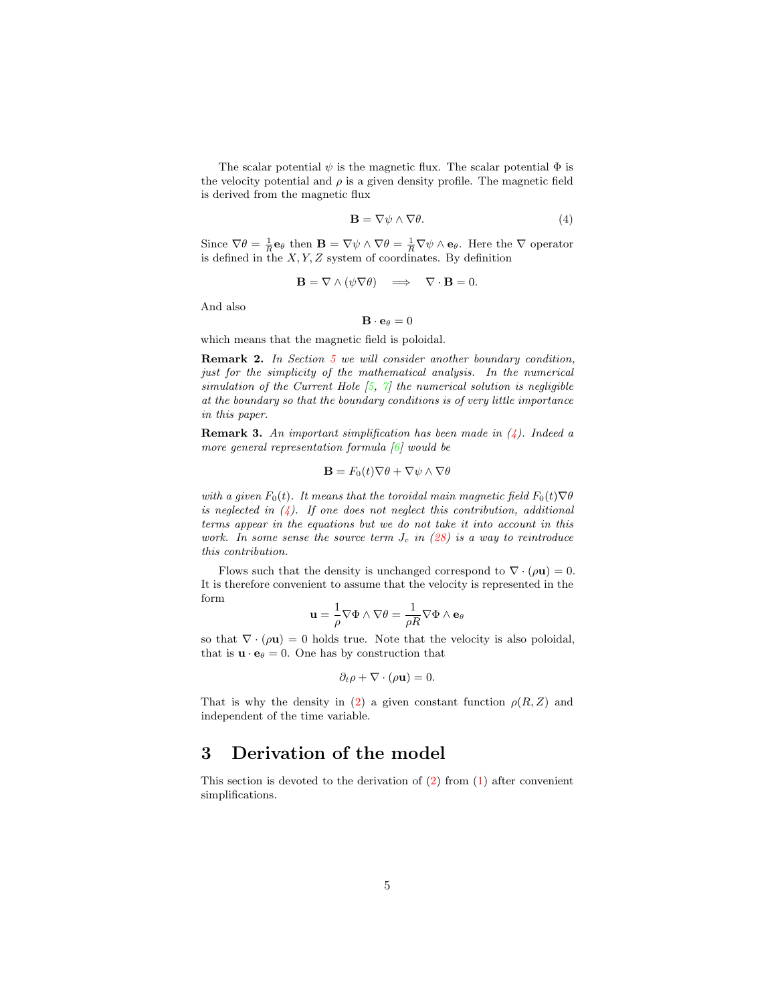The scalar potential  $\psi$  is the magnetic flux. The scalar potential  $\Phi$  is the velocity potential and  $\rho$  is a given density profile. The magnetic field is derived from the magnetic flux

$$
\mathbf{B} = \nabla \psi \wedge \nabla \theta. \tag{4}
$$

<span id="page-4-1"></span>Since  $\nabla \theta = \frac{1}{R} \mathbf{e}_{\theta}$  then  $\mathbf{B} = \nabla \psi \wedge \nabla \theta = \frac{1}{R} \nabla \psi \wedge \mathbf{e}_{\theta}$ . Here the  $\nabla$  operator is defined in the  $X, Y, Z$  system of coordinates. By definition

$$
\mathbf{B} = \nabla \wedge (\psi \nabla \theta) \implies \nabla \cdot \mathbf{B} = 0.
$$

And also

$$
\mathbf{B}\cdot\mathbf{e}_{\theta}=0
$$

which means that the magnetic field is poloidal.

Remark 2. *In Section [5](#page-12-0) we will consider another boundary condition, just for the simplicity of the mathematical analysis. In the numerical simulation of the Current Hole [\[5,](#page-26-1) [7\]](#page-26-7) the numerical solution is negligible at the boundary so that the boundary conditions is of very little importance in this paper.*

<span id="page-4-2"></span>Remark 3. *An important simplification has been made in [\(4\)](#page-4-1). Indeed a more general representation formula [\[6\]](#page-26-8) would be*

$$
\mathbf{B} = F_0(t)\nabla\theta + \nabla\psi \wedge \nabla\theta
$$

*with a given*  $F_0(t)$ *. It means that the toroidal main magnetic field*  $F_0(t)\nabla\theta$ *is neglected in [\(4\)](#page-4-1). If one does not neglect this contribution, additional terms appear in the equations but we do not take it into account in this work.* In some sense the source term  $J_c$  in  $(28)$  is a way to reintroduce *this contribution.*

Flows such that the density is unchanged correspond to  $\nabla \cdot (\rho \mathbf{u}) = 0$ . It is therefore convenient to assume that the velocity is represented in the form

$$
\mathbf{u} = \frac{1}{\rho} \nabla \Phi \wedge \nabla \theta = \frac{1}{\rho R} \nabla \Phi \wedge \mathbf{e}_{\theta}
$$

so that  $\nabla \cdot (\rho \mathbf{u}) = 0$  holds true. Note that the velocity is also poloidal, that is  $\mathbf{u} \cdot \mathbf{e}_{\theta} = 0$ . One has by construction that

$$
\partial_t \rho + \nabla \cdot (\rho \mathbf{u}) = 0.
$$

That is why the density in [\(2\)](#page-3-1) a given constant function  $\rho(R, Z)$  and independent of the time variable.

## <span id="page-4-0"></span>3 Derivation of the model

This section is devoted to the derivation of  $(2)$  from  $(1)$  after convenient simplifications.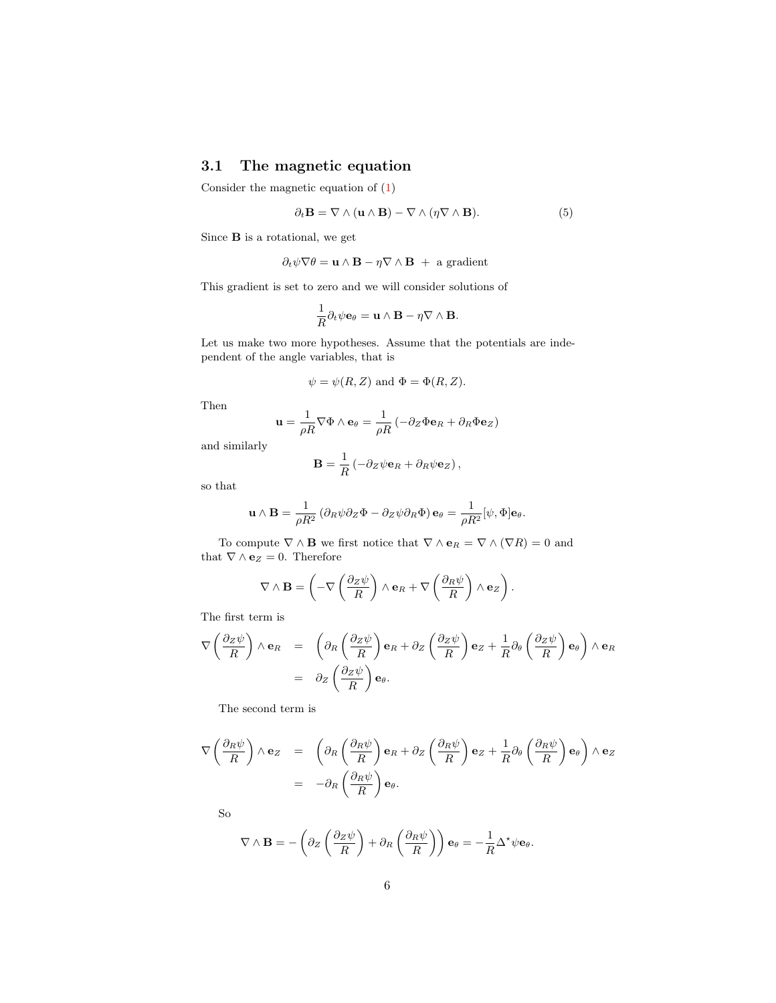## 3.1 The magnetic equation

<span id="page-5-0"></span>Consider the magnetic equation of [\(1\)](#page-3-0)

$$
\partial_t \mathbf{B} = \nabla \wedge (\mathbf{u} \wedge \mathbf{B}) - \nabla \wedge (\eta \nabla \wedge \mathbf{B}). \tag{5}
$$

Since B is a rotational, we get

$$
\partial_t \psi \nabla \theta = \mathbf{u} \wedge \mathbf{B} - \eta \nabla \wedge \mathbf{B} + \text{ a gradient}
$$

This gradient is set to zero and we will consider solutions of

$$
\frac{1}{R}\partial_t\psi\mathbf{e}_{\theta} = \mathbf{u} \wedge \mathbf{B} - \eta \nabla \wedge \mathbf{B}.
$$

Let us make two more hypotheses. Assume that the potentials are independent of the angle variables, that is

$$
\psi = \psi(R, Z)
$$
 and  $\Phi = \Phi(R, Z)$ .

Then

$$
\mathbf{u} = \frac{1}{\rho R} \nabla \Phi \wedge \mathbf{e}_{\theta} = \frac{1}{\rho R} \left( -\partial_Z \Phi \mathbf{e}_R + \partial_R \Phi \mathbf{e}_Z \right)
$$

and similarly

$$
\mathbf{B} = \frac{1}{R} \left( -\partial_Z \psi \mathbf{e}_R + \partial_R \psi \mathbf{e}_Z \right),\,
$$

so that

$$
\mathbf{u} \wedge \mathbf{B} = \frac{1}{\rho R^2} \left( \partial_R \psi \partial_Z \Phi - \partial_Z \psi \partial_R \Phi \right) \mathbf{e}_{\theta} = \frac{1}{\rho R^2} [\psi, \Phi] \mathbf{e}_{\theta}.
$$

To compute  $\nabla \wedge \mathbf{B}$  we first notice that  $\nabla \wedge \mathbf{e}_R = \nabla \wedge (\nabla R) = 0$  and that  $\nabla \wedge \mathbf{e}_Z = 0$ . Therefore

$$
\nabla \wedge \mathbf{B} = \left(-\nabla \left(\frac{\partial z \psi}{R}\right) \wedge \mathbf{e}_R + \nabla \left(\frac{\partial_R \psi}{R}\right) \wedge \mathbf{e}_Z\right).
$$

The first term is

$$
\nabla \left( \frac{\partial z \psi}{R} \right) \wedge \mathbf{e}_R = \left( \partial_R \left( \frac{\partial z \psi}{R} \right) \mathbf{e}_R + \partial_Z \left( \frac{\partial z \psi}{R} \right) \mathbf{e}_Z + \frac{1}{R} \partial_\theta \left( \frac{\partial z \psi}{R} \right) \mathbf{e}_\theta \right) \wedge \mathbf{e}_R
$$
  
=  $\partial_Z \left( \frac{\partial z \psi}{R} \right) \mathbf{e}_\theta.$ 

The second term is

$$
\nabla \left( \frac{\partial_R \psi}{R} \right) \wedge \mathbf{e}_Z = \left( \partial_R \left( \frac{\partial_R \psi}{R} \right) \mathbf{e}_R + \partial_Z \left( \frac{\partial_R \psi}{R} \right) \mathbf{e}_Z + \frac{1}{R} \partial_\theta \left( \frac{\partial_R \psi}{R} \right) \mathbf{e}_\theta \right) \wedge \mathbf{e}_Z
$$
  
= 
$$
- \partial_R \left( \frac{\partial_R \psi}{R} \right) \mathbf{e}_\theta.
$$

So

$$
\nabla \wedge \mathbf{B} = -\left(\partial_Z \left(\frac{\partial_Z \psi}{R}\right) + \partial_R \left(\frac{\partial_R \psi}{R}\right)\right) \mathbf{e}_{\theta} = -\frac{1}{R} \Delta^* \psi \mathbf{e}_{\theta}.
$$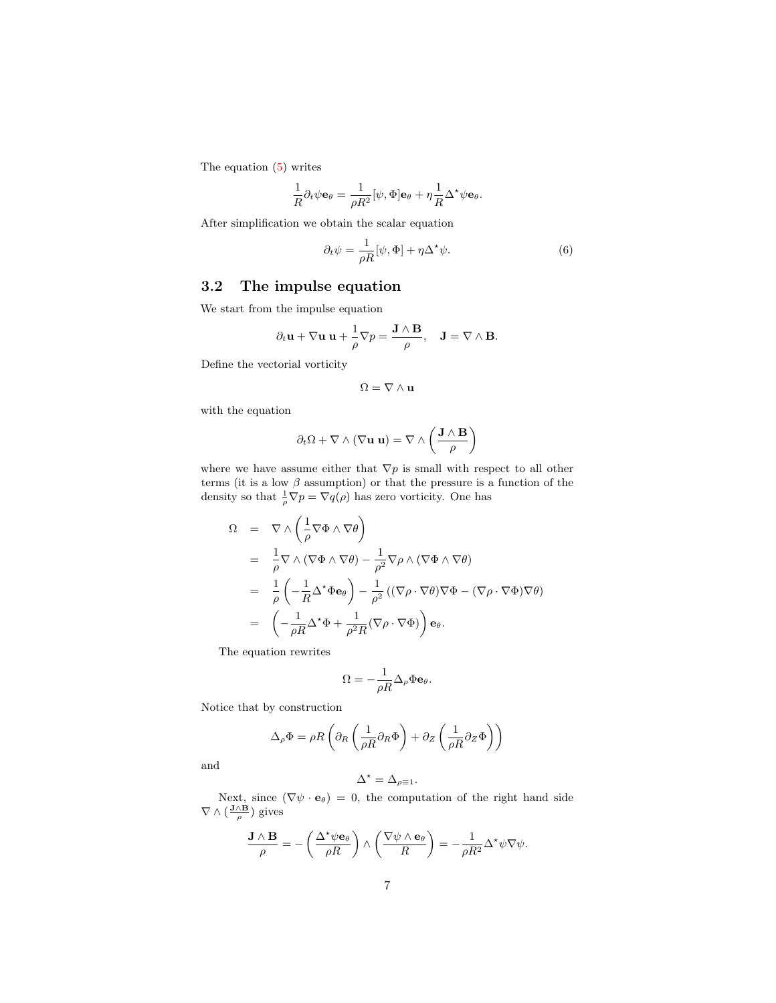The equation [\(5\)](#page-5-0) writes

$$
\frac{1}{R}\partial_t\psi\mathbf{e}_{\theta} = \frac{1}{\rho R^2}[\psi,\Phi]\mathbf{e}_{\theta} + \eta\frac{1}{R}\Delta^{\star}\psi\mathbf{e}_{\theta}.
$$

<span id="page-6-0"></span>After simplification we obtain the scalar equation

$$
\partial_t \psi = \frac{1}{\rho R} [\psi, \Phi] + \eta \Delta^* \psi.
$$
 (6)

## 3.2 The impulse equation

We start from the impulse equation

$$
\partial_t \mathbf{u} + \nabla \mathbf{u} \mathbf{u} + \frac{1}{\rho} \nabla p = \frac{\mathbf{J} \wedge \mathbf{B}}{\rho}, \quad \mathbf{J} = \nabla \wedge \mathbf{B}.
$$

Define the vectorial vorticity

$$
\Omega = \nabla \wedge {\bf u}
$$

with the equation

$$
\partial_t \Omega + \nabla \wedge (\nabla \mathbf{u} \mathbf{u}) = \nabla \wedge \left( \frac{\mathbf{J} \wedge \mathbf{B}}{\rho} \right)
$$

where we have assume either that  $\nabla p$  is small with respect to all other terms (it is a low  $\beta$  assumption) or that the pressure is a function of the density so that  $\frac{1}{\rho} \nabla p = \nabla q(\rho)$  has zero vorticity. One has

$$
\Omega = \nabla \wedge \left( \frac{1}{\rho} \nabla \Phi \wedge \nabla \theta \right)
$$
\n
$$
= \frac{1}{\rho} \nabla \wedge (\nabla \Phi \wedge \nabla \theta) - \frac{1}{\rho^2} \nabla \rho \wedge (\nabla \Phi \wedge \nabla \theta)
$$
\n
$$
= \frac{1}{\rho} \left( -\frac{1}{R} \Delta^* \Phi \mathbf{e}_{\theta} \right) - \frac{1}{\rho^2} \left( (\nabla \rho \cdot \nabla \theta) \nabla \Phi - (\nabla \rho \cdot \nabla \Phi) \nabla \theta \right)
$$
\n
$$
= \left( -\frac{1}{\rho R} \Delta^* \Phi + \frac{1}{\rho^2 R} (\nabla \rho \cdot \nabla \Phi) \right) \mathbf{e}_{\theta}.
$$

The equation rewrites

$$
\Omega = -\frac{1}{\rho R} \Delta_\rho \Phi {\bf e}_\theta.
$$

Notice that by construction

$$
\Delta_{\rho} \Phi = \rho R \left( \partial_R \left( \frac{1}{\rho R} \partial_R \Phi \right) + \partial_Z \left( \frac{1}{\rho R} \partial_Z \Phi \right) \right)
$$

and

$$
\Delta^\star = \Delta_{\rho\equiv 1}.
$$

Next, since  $(\nabla \psi \cdot \mathbf{e}_{\theta}) = 0$ , the computation of the right hand side  $\nabla \wedge (\frac{\mathbf{J} \wedge \mathbf{B}}{\rho})$  gives

$$
\frac{\mathbf{J}\wedge\mathbf{B}}{\rho}=-\left(\frac{\Delta^{\star}\psi\mathbf{e}_{\theta}}{\rho R}\right)\wedge\left(\frac{\nabla\psi\wedge\mathbf{e}_{\theta}}{R}\right)=-\frac{1}{\rho R^{2}}\Delta^{\star}\psi\nabla\psi.
$$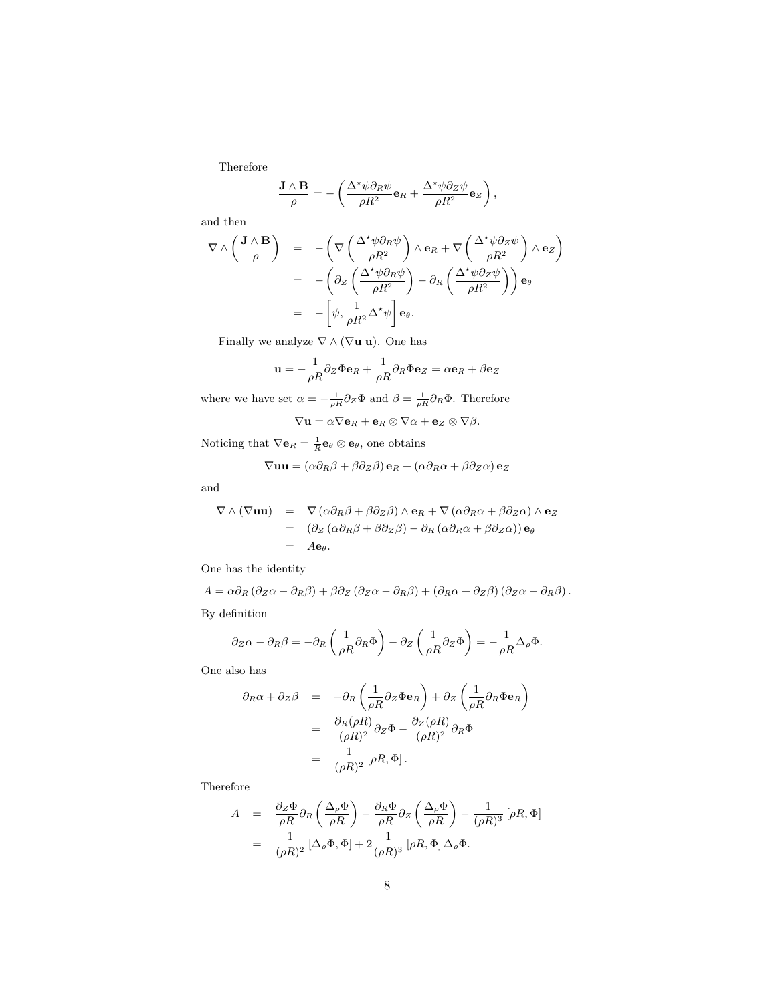Therefore

$$
\frac{\mathbf{J} \wedge \mathbf{B}}{\rho} = -\left(\frac{\Delta^* \psi \partial_R \psi}{\rho R^2} \mathbf{e}_R + \frac{\Delta^* \psi \partial_Z \psi}{\rho R^2} \mathbf{e}_Z\right),\,
$$

and then

$$
\nabla \wedge \left(\frac{\mathbf{J} \wedge \mathbf{B}}{\rho}\right) = -\left(\nabla \left(\frac{\Delta^* \psi \partial_R \psi}{\rho R^2}\right) \wedge \mathbf{e}_R + \nabla \left(\frac{\Delta^* \psi \partial_Z \psi}{\rho R^2}\right) \wedge \mathbf{e}_Z\right)
$$
  
= 
$$
-\left(\partial_Z \left(\frac{\Delta^* \psi \partial_R \psi}{\rho R^2}\right) - \partial_R \left(\frac{\Delta^* \psi \partial_Z \psi}{\rho R^2}\right)\right) \mathbf{e}_{\theta}
$$
  
= 
$$
-\left[\psi, \frac{1}{\rho R^2} \Delta^* \psi\right] \mathbf{e}_{\theta}.
$$

Finally we analyze  $\nabla \wedge (\nabla \mathbf{u} \mathbf{u})$ . One has

$$
\mathbf{u} = -\frac{1}{\rho R} \partial_Z \Phi \mathbf{e}_R + \frac{1}{\rho R} \partial_R \Phi \mathbf{e}_Z = \alpha \mathbf{e}_R + \beta \mathbf{e}_Z
$$

where we have set  $\alpha = -\frac{1}{\rho R} \partial_Z \Phi$  and  $\beta = \frac{1}{\rho R} \partial_R \Phi$ . Therefore  $\nabla$ **u** =  $\alpha \nabla$ **e**<sub>R</sub> + **e**<sub>R</sub>  $\otimes \nabla \alpha$  + **e**<sub>Z</sub>  $\otimes \nabla \beta$ .

Noticing that  $\nabla \mathbf{e}_R = \frac{1}{R} \mathbf{e}_\theta \otimes \mathbf{e}_\theta$ , one obtains

$$
\nabla \mathbf{u}\mathbf{u} = (\alpha \partial_R \beta + \beta \partial_Z \beta) \mathbf{e}_R + (\alpha \partial_R \alpha + \beta \partial_Z \alpha) \mathbf{e}_Z
$$

and

$$
\nabla \wedge (\nabla \mathbf{u} \mathbf{u}) = \nabla (\alpha \partial_R \beta + \beta \partial_Z \beta) \wedge \mathbf{e}_R + \nabla (\alpha \partial_R \alpha + \beta \partial_Z \alpha) \wedge \mathbf{e}_Z
$$
  
= 
$$
(\partial_Z (\alpha \partial_R \beta + \beta \partial_Z \beta) - \partial_R (\alpha \partial_R \alpha + \beta \partial_Z \alpha)) \mathbf{e}_\theta
$$
  
= 
$$
A \mathbf{e}_\theta.
$$

One has the identity

$$
A = \alpha \partial_R (\partial_Z \alpha - \partial_R \beta) + \beta \partial_Z (\partial_Z \alpha - \partial_R \beta) + (\partial_R \alpha + \partial_Z \beta) (\partial_Z \alpha - \partial_R \beta).
$$
  
By definition

$$
\partial_Z \alpha - \partial_R \beta = -\partial_R \left( \frac{1}{\rho R} \partial_R \Phi \right) - \partial_Z \left( \frac{1}{\rho R} \partial_Z \Phi \right) = -\frac{1}{\rho R} \Delta_\rho \Phi.
$$

One also has

$$
\partial_R \alpha + \partial_Z \beta = -\partial_R \left( \frac{1}{\rho R} \partial_Z \Phi \mathbf{e}_R \right) + \partial_Z \left( \frac{1}{\rho R} \partial_R \Phi \mathbf{e}_R \right)
$$
  

$$
= \frac{\partial_R (\rho R)}{(\rho R)^2} \partial_Z \Phi - \frac{\partial_Z (\rho R)}{(\rho R)^2} \partial_R \Phi
$$
  

$$
= \frac{1}{(\rho R)^2} [\rho R, \Phi].
$$

Therefore

$$
A = \frac{\partial_Z \Phi}{\rho R} \partial_R \left( \frac{\Delta_\rho \Phi}{\rho R} \right) - \frac{\partial_R \Phi}{\rho R} \partial_Z \left( \frac{\Delta_\rho \Phi}{\rho R} \right) - \frac{1}{(\rho R)^3} [\rho R, \Phi]
$$
  
= 
$$
\frac{1}{(\rho R)^2} [\Delta_\rho \Phi, \Phi] + 2 \frac{1}{(\rho R)^3} [\rho R, \Phi] \Delta_\rho \Phi.
$$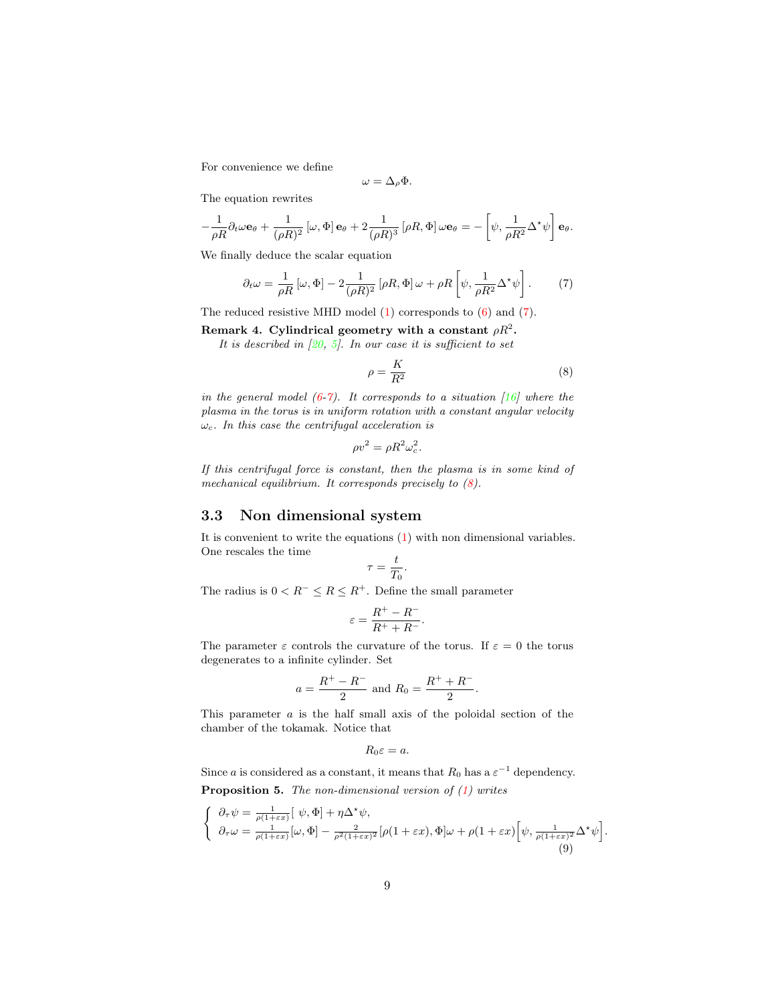For convenience we define

$$
\omega = \Delta_{\rho} \Phi.
$$

The equation rewrites

$$
-\frac{1}{\rho R}\partial_t\omega\mathbf{e}_{\theta} + \frac{1}{(\rho R)^2}[\omega,\Phi]\mathbf{e}_{\theta} + 2\frac{1}{(\rho R)^3}[\rho R,\Phi]\omega\mathbf{e}_{\theta} = -[\psi,\frac{1}{\rho R^2}\Delta^{\star}\psi]\mathbf{e}_{\theta}.
$$

<span id="page-8-1"></span>We finally deduce the scalar equation

$$
\partial_t \omega = \frac{1}{\rho R} \left[ \omega, \Phi \right] - 2 \frac{1}{(\rho R)^2} \left[ \rho R, \Phi \right] \omega + \rho R \left[ \psi, \frac{1}{\rho R^2} \Delta^* \psi \right]. \tag{7}
$$

<span id="page-8-0"></span>The reduced resistive MHD model [\(1\)](#page-3-0) corresponds to [\(6\)](#page-6-0) and [\(7\)](#page-8-1).

Remark 4. Cylindrical geometry with a constant  $\rho R^2.$ 

<span id="page-8-2"></span>*It is described in [\[20,](#page-27-3) [5\]](#page-26-1). In our case it is sufficient to set*

$$
\rho = \frac{K}{R^2} \tag{8}
$$

*in the general model [\(6-](#page-6-0)[7\)](#page-8-1). It corresponds to a situation [\[16\]](#page-27-4) where the plasma in the torus is in uniform rotation with a constant angular velocity* ωc*. In this case the centrifugal acceleration is*

$$
\rho v^2 = \rho R^2 \omega_c^2.
$$

*If this centrifugal force is constant, then the plasma is in some kind of mechanical equilibrium. It corresponds precisely to [\(8\)](#page-8-2).*

### 3.3 Non dimensional system

It is convenient to write the equations [\(1\)](#page-3-0) with non dimensional variables. One rescales the time

$$
\tau = \frac{t}{T_0}.
$$

The radius is  $0 < R^- \leq R \leq R^+$ . Define the small parameter

$$
\varepsilon = \frac{R^+ - R^-}{R^+ + R^-}.
$$

The parameter  $\varepsilon$  controls the curvature of the torus. If  $\varepsilon = 0$  the torus degenerates to a infinite cylinder. Set

$$
a = \frac{R^+ - R^-}{2}
$$
 and  $R_0 = \frac{R^+ + R^-}{2}$ .

This parameter a is the half small axis of the poloidal section of the chamber of the tokamak. Notice that

$$
R_0\varepsilon=a.
$$

Since a is considered as a constant, it means that  $R_0$  has a  $\varepsilon^{-1}$  dependency. Proposition 5. *The non-dimensional version of [\(1\)](#page-3-0) writes*

<span id="page-8-3"></span>
$$
\begin{cases} \n\partial_{\tau}\psi = \frac{1}{\rho(1+\varepsilon x)} \left[ \psi, \Phi \right] + \eta \Delta^{\star}\psi, \\
\partial_{\tau}\omega = \frac{1}{\rho(1+\varepsilon x)} \left[ \omega, \Phi \right] - \frac{2}{\rho^2(1+\varepsilon x)^2} \left[ \rho(1+\varepsilon x), \Phi \right] \omega + \rho(1+\varepsilon x) \left[ \psi, \frac{1}{\rho(1+\varepsilon x)^2} \Delta^{\star}\psi \right] \n\end{cases}
$$
\n(9)

.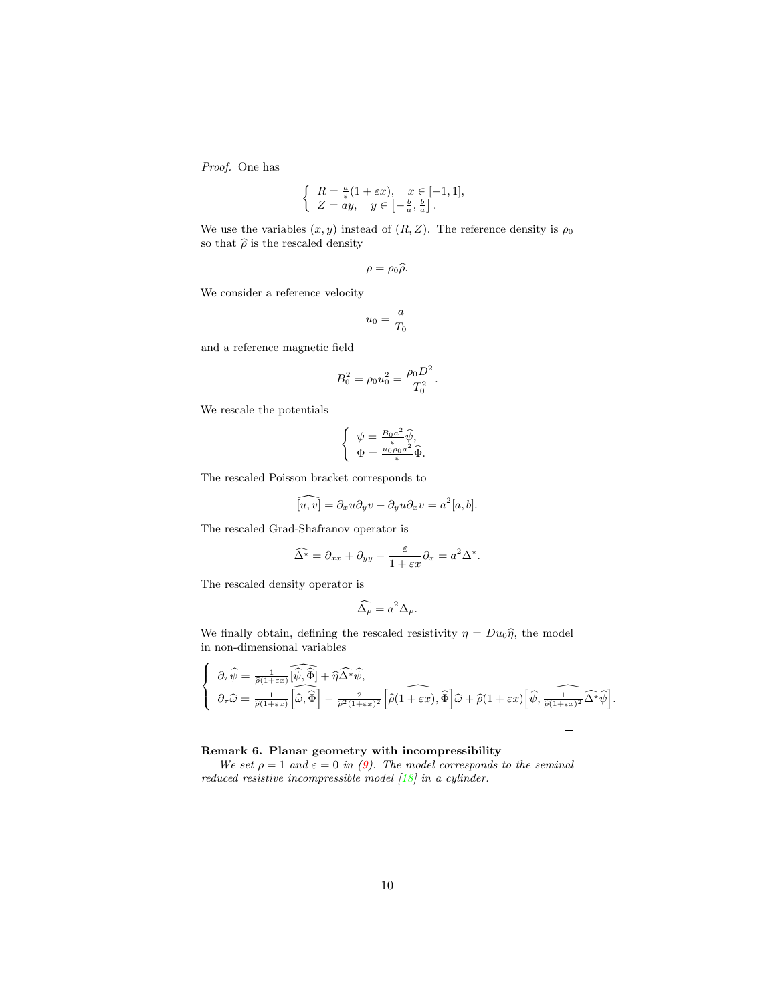*Proof.* One has

$$
\begin{cases}\nR = \frac{a}{\varepsilon}(1 + \varepsilon x), & x \in [-1, 1], \\
Z = ay, & y \in \left[-\frac{b}{a}, \frac{b}{a}\right].\n\end{cases}
$$

We use the variables  $(x, y)$  instead of  $(R, Z)$ . The reference density is  $\rho_0$ so that  $\hat{\rho}$  is the rescaled density

$$
\rho=\rho_0\widehat{\rho}.
$$

We consider a reference velocity

$$
u_0=\frac{a}{T_0}
$$

and a reference magnetic field

$$
B_0^2 = \rho_0 u_0^2 = \frac{\rho_0 D^2}{T_0^2}.
$$

We rescale the potentials

$$
\left\{ \begin{array}{c} \psi = \frac{B_0 a^2}{\varepsilon} \widehat{\psi}, \\ \Phi = \frac{u_0 \rho_0 a^2}{\varepsilon} \widehat{\Phi}. \end{array} \right.
$$

The rescaled Poisson bracket corresponds to

$$
\widehat{[u,v]} = \partial_x u \partial_y v - \partial_y u \partial_x v = a^2 [a, b].
$$

The rescaled Grad-Shafranov operator is

$$
\widehat{\Delta^{\star}} = \partial_{xx} + \partial_{yy} - \frac{\varepsilon}{1 + \varepsilon x} \partial_x = a^2 \Delta^{\star}.
$$

The rescaled density operator is

$$
\widehat{\Delta_{\rho}} = a^2 \Delta_{\rho}.
$$

We finally obtain, defining the rescaled resistivity  $\eta = Du_0\hat{\eta}$ , the model in non-dimensional variables

$$
\left\{\n\begin{aligned}\n\partial_{\tau}\widehat{\psi} &= \frac{1}{\widehat{\rho}(1+\varepsilon x)} \widehat{[\widehat{\psi},\widehat{\Phi}]} + \widehat{\eta}\widehat{\Delta^{\star}\psi}, \\
\partial_{\tau}\widehat{\omega} &= \frac{1}{\widehat{\rho}(1+\varepsilon x)} \widehat{[\widehat{\omega},\widehat{\Phi}]} - \frac{2}{\widehat{\rho}^2(1+\varepsilon x)^2} \left[\widehat{\rho}(1+\varepsilon x),\widehat{\Phi}\right] \widehat{\omega} + \widehat{\rho}(1+\varepsilon x) \left[\widehat{\psi},\widehat{\frac{1}{\widehat{\rho}(1+\varepsilon x)^2}}\widehat{\Delta^{\star}\psi}\right].\n\end{aligned}\n\right.
$$

#### <span id="page-9-0"></span>Remark 6. Planar geometry with incompressibility

*We set*  $\rho = 1$  *and*  $\varepsilon = 0$  *in* [\(9\)](#page-8-3)*. The model corresponds to the seminal reduced resistive incompressible model [\[18\]](#page-27-1) in a cylinder.*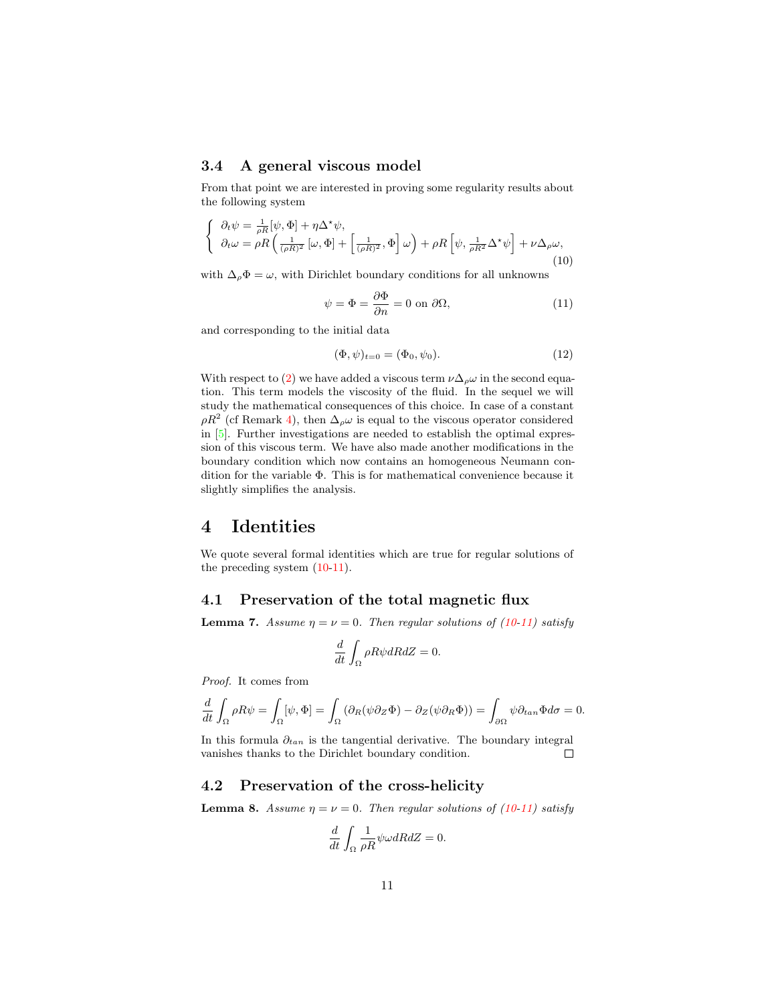### 3.4 A general viscous model

From that point we are interested in proving some regularity results about the following system

<span id="page-10-0"></span>
$$
\begin{cases} \n\partial_t \psi = \frac{1}{\rho R} [\psi, \Phi] + \eta \Delta^* \psi, \\
\partial_t \omega = \rho R \left( \frac{1}{(\rho R)^2} [\omega, \Phi] + \left[ \frac{1}{(\rho R)^2}, \Phi \right] \omega \right) + \rho R \left[ \psi, \frac{1}{\rho R^2} \Delta^* \psi \right] + \nu \Delta_\rho \omega,\n\end{cases} \tag{10}
$$

<span id="page-10-1"></span>with  $\Delta_{\rho} \Phi = \omega$ , with Dirichlet boundary conditions for all unknowns

$$
\psi = \Phi = \frac{\partial \Phi}{\partial n} = 0 \text{ on } \partial \Omega,
$$
\n(11)

<span id="page-10-2"></span>and corresponding to the initial data

$$
(\Phi, \psi)_{t=0} = (\Phi_0, \psi_0). \tag{12}
$$

With respect to [\(2\)](#page-3-1) we have added a viscous term  $\nu \Delta_{\rho} \omega$  in the second equation. This term models the viscosity of the fluid. In the sequel we will study the mathematical consequences of this choice. In case of a constant  $\rho R^2$  (cf Remark [4\)](#page-8-0), then  $\Delta_{\rho}\omega$  is equal to the viscous operator considered in [\[5\]](#page-26-1). Further investigations are needed to establish the optimal expression of this viscous term. We have also made another modifications in the boundary condition which now contains an homogeneous Neumann condition for the variable Φ. This is for mathematical convenience because it slightly simplifies the analysis.

## 4 Identities

We quote several formal identities which are true for regular solutions of the preceding system [\(10](#page-10-0)[-11\)](#page-10-1).

### 4.1 Preservation of the total magnetic flux

**Lemma 7.** *Assume*  $\eta = \nu = 0$ *. Then regular solutions of [\(10-](#page-10-0)[11\)](#page-10-1) satisfy* 

$$
\frac{d}{dt} \int_{\Omega} \rho R \psi dR dZ = 0.
$$

*Proof.* It comes from

$$
\frac{d}{dt}\int_{\Omega}\rho R\psi = \int_{\Omega}[\psi,\Phi] = \int_{\Omega}(\partial_R(\psi\partial_Z\Phi) - \partial_Z(\psi\partial_R\Phi)) = \int_{\partial\Omega}\psi\partial_{tan}\Phi d\sigma = 0.
$$

In this formula  $\partial_{tan}$  is the tangential derivative. The boundary integral vanishes thanks to the Dirichlet boundary condition.  $\Box$ 

## 4.2 Preservation of the cross-helicity

**Lemma 8.** *Assume*  $\eta = \nu = 0$ *. Then regular solutions of [\(10-](#page-10-0)[11\)](#page-10-1) satisfy* 

$$
\frac{d}{dt}\int_{\Omega}\frac{1}{\rho R}\psi\omega dR dZ=0.
$$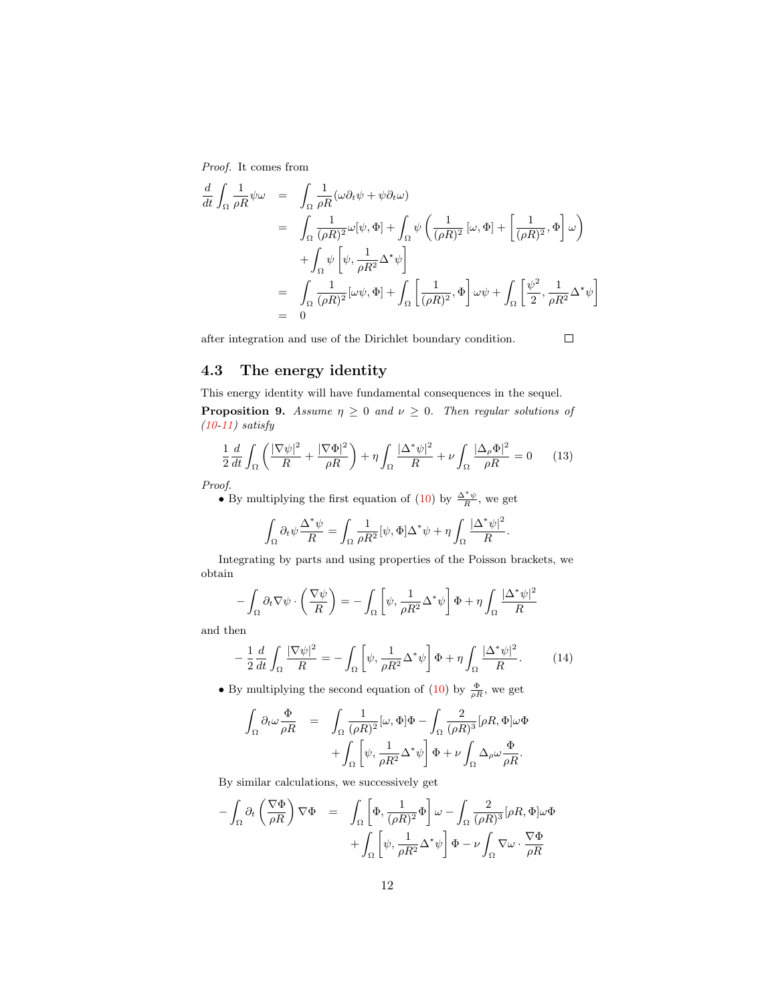*Proof.* It comes from

$$
\frac{d}{dt} \int_{\Omega} \frac{1}{\rho R} \psi \omega = \int_{\Omega} \frac{1}{\rho R} (\omega \partial_t \psi + \psi \partial_t \omega)
$$
\n
$$
= \int_{\Omega} \frac{1}{(\rho R)^2} \omega [\psi, \Phi] + \int_{\Omega} \psi \left( \frac{1}{(\rho R)^2} [\omega, \Phi] + \left[ \frac{1}{(\rho R)^2}, \Phi \right] \omega \right)
$$
\n
$$
+ \int_{\Omega} \psi \left[ \psi, \frac{1}{\rho R^2} \Delta^* \psi \right]
$$
\n
$$
= \int_{\Omega} \frac{1}{(\rho R)^2} [\omega \psi, \Phi] + \int_{\Omega} \left[ \frac{1}{(\rho R)^2}, \Phi \right] \omega \psi + \int_{\Omega} \left[ \frac{\psi^2}{2}, \frac{1}{\rho R^2} \Delta^* \psi \right]
$$
\n
$$
= 0
$$

after integration and use of the Dirichlet boundary condition.

 $\Box$ 

–

### 4.3 The energy identity

<span id="page-11-2"></span>This energy identity will have fundamental consequences in the sequel.

**Proposition 9.** *Assume*  $\eta \geq 0$  *and*  $\nu \geq 0$ *. Then regular solutions of [\(10](#page-10-0)[-11\)](#page-10-1) satisfy*

$$
\frac{1}{2}\frac{d}{dt}\int_{\Omega}\left(\frac{|\nabla\psi|^{2}}{R}+\frac{|\nabla\Phi|^{2}}{\rho R}\right)+\eta\int_{\Omega}\frac{|\Delta^{*}\psi|^{2}}{R}+\nu\int_{\Omega}\frac{|\Delta_{\rho}\Phi|^{2}}{\rho R}=0\qquad(13)
$$

<span id="page-11-0"></span>*Proof.*

• By multiplying the first equation of [\(10\)](#page-10-0) by  $\frac{\Delta^* \psi}{R}$ , we get

$$
\int_{\Omega} \partial_t \psi \frac{\Delta^* \psi}{R} = \int_{\Omega} \frac{1}{\rho R^2} [\psi, \Phi] \Delta^* \psi + \eta \int_{\Omega} \frac{|\Delta^* \psi|^2}{R}.
$$

Integrating by parts and using properties of the Poisson brackets, we obtain

$$
-\int_{\Omega} \partial_t \nabla \psi \cdot \left(\frac{\nabla \psi}{R}\right) = -\int_{\Omega} \left[\psi, \frac{1}{\rho R^2} \Delta^* \psi\right] \Phi + \eta \int_{\Omega} \frac{|\Delta^* \psi|^2}{R}
$$

<span id="page-11-1"></span>and then

−

$$
-\frac{1}{2}\frac{d}{dt}\int_{\Omega}\frac{|\nabla\psi|^{2}}{R}=-\int_{\Omega}\left[\psi,\frac{1}{\rho R^{2}}\Delta^{*}\psi\right]\Phi+\eta\int_{\Omega}\frac{|\Delta^{*}\psi|^{2}}{R}.\tag{14}
$$

• By multiplying the second equation of [\(10\)](#page-10-0) by  $\frac{\Phi}{\rho R}$ , we get

$$
\begin{array}{rcl} \displaystyle\int_\Omega \partial_t\omega \frac{\Phi}{\rho R} & = & \displaystyle\int_\Omega \frac{1}{(\rho R)^2}[\omega,\Phi]\Phi - \int_\Omega \frac{2}{(\rho R)^3}[\rho R,\Phi]\omega\Phi \\ & & \displaystyle\quad + \int_\Omega \left[\psi,\frac{1}{\rho R^2}\Delta^*\psi\right]\Phi + \nu\int_\Omega \Delta_\rho\omega\frac{\Phi}{\rho R}. \end{array}
$$

By similar calculations, we successively get

$$
-\int_{\Omega} \partial_t \left(\frac{\nabla \Phi}{\rho R}\right) \nabla \Phi = \int_{\Omega} \left[\Phi, \frac{1}{(\rho R)^2} \Phi\right] \omega - \int_{\Omega} \frac{2}{(\rho R)^3} [\rho R, \Phi] \omega \Phi
$$

$$
+ \int_{\Omega} \left[\psi, \frac{1}{\rho R^2} \Delta^* \psi\right] \Phi - \nu \int_{\Omega} \nabla \omega \cdot \frac{\nabla \Phi}{\rho R}
$$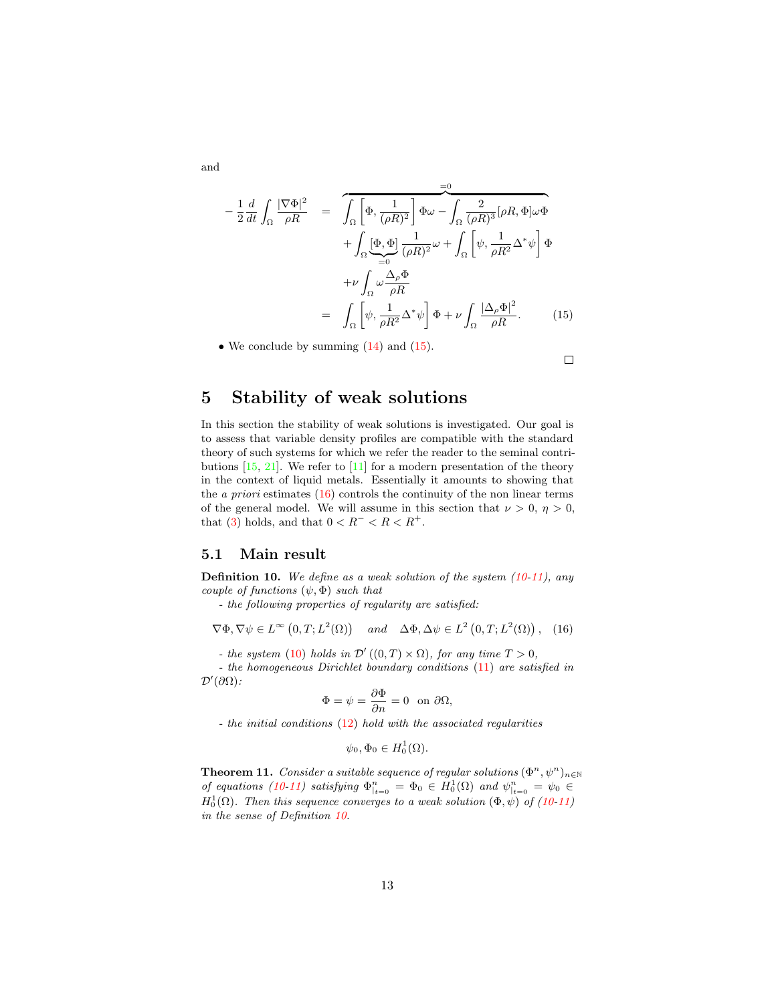<span id="page-12-1"></span>and

$$
-\frac{1}{2}\frac{d}{dt}\int_{\Omega}\frac{|\nabla\Phi|^{2}}{\rho R} = \int_{\Omega}\left[\Phi, \frac{1}{(\rho R)^{2}}\right]\Phi\omega - \int_{\Omega}\frac{2}{(\rho R)^{3}}[\rho R, \Phi]\omega\Phi
$$

$$
+\int_{\Omega}\underbrace{\Phi, \Phi}_{=0}\frac{1}{(\rho R)^{2}}\omega + \int_{\Omega}\left[\psi, \frac{1}{\rho R^{2}}\Delta^{*}\psi\right]\Phi
$$

$$
+\nu\int_{\Omega}\omega\frac{\Delta_{\rho}\Phi}{\rho R}
$$

$$
=\int_{\Omega}\left[\psi, \frac{1}{\rho R^{2}}\Delta^{*}\psi\right]\Phi + \nu\int_{\Omega}\frac{|\Delta_{\rho}\Phi|^{2}}{\rho R}.\qquad(15)
$$

• We conclude by summing  $(14)$  and  $(15)$ .

 $\Box$ 

## <span id="page-12-0"></span>5 Stability of weak solutions

In this section the stability of weak solutions is investigated. Our goal is to assess that variable density profiles are compatible with the standard theory of such systems for which we refer the reader to the seminal contributions  $[15, 21]$  $[15, 21]$ . We refer to  $[11]$  for a modern presentation of the theory in the context of liquid metals. Essentially it amounts to showing that the *a priori* estimates [\(16\)](#page-12-2) controls the continuity of the non linear terms of the general model. We will assume in this section that  $\nu > 0$ ,  $\eta > 0$ , that [\(3\)](#page-3-2) holds, and that  $0 < R^- < R < R^+$ .

#### 5.1 Main result

<span id="page-12-3"></span>Definition 10. *We define as a weak solution of the system [\(10-](#page-10-0)[11\)](#page-10-1), any couple of functions*  $(\psi, \Phi)$  *such that* 

*- the following properties of regularity are satisfied:*

$$
\nabla \Phi, \nabla \psi \in L^{\infty}(0, T; L^{2}(\Omega)) \quad and \quad \Delta \Phi, \Delta \psi \in L^{2}(0, T; L^{2}(\Omega)), \quad (16)
$$

*- the system* [\(10\)](#page-10-0) *holds in*  $\mathcal{D}'((0,T) \times \Omega)$ *, for any time*  $T > 0$ *,* 

<span id="page-12-2"></span>*- the homogeneous Dirichlet boundary conditions* [\(11\)](#page-10-1) *are satisfied in*  $\mathcal{D}'(\partial\Omega)$ :

$$
\Phi = \psi = \frac{\partial \Phi}{\partial n} = 0 \text{ on } \partial \Omega,
$$

*- the initial conditions* [\(12\)](#page-10-2) *hold with the associated regularities*

$$
\psi_0, \Phi_0 \in H_0^1(\Omega).
$$

<span id="page-12-4"></span>**Theorem 11.** *Consider a suitable sequence of regular solutions*  $(\Phi^n, \psi^n)_{n \in \mathbb{N}}$ *of equations* [\(10-](#page-10-0)[11\)](#page-10-1) satisfying  $\Phi_{|t=0}^n = \Phi_0 \in H_0^1(\Omega)$  and  $\psi_{|t=0}^n = \psi_0 \in$  $H_0^1(\Omega)$ . Then this sequence converges to a weak solution  $(\Phi, \psi)$  of  $(10-11)$  $(10-11)$ *in the sense of Definition [10.](#page-12-3)*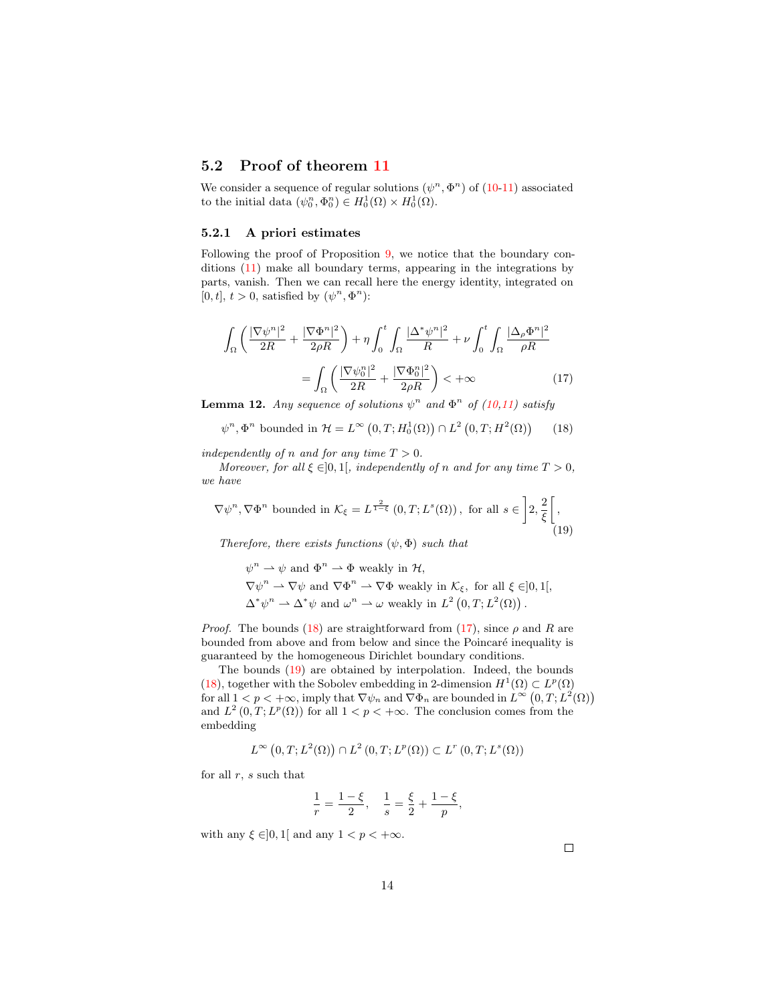### 5.2 Proof of theorem [11](#page-12-4)

We consider a sequence of regular solutions  $(\psi^n, \Phi^n)$  of  $(10-11)$  $(10-11)$  associated to the initial data  $(\psi_0^n, \Phi_0^n) \in H_0^1(\Omega) \times H_0^1(\Omega)$ .

#### 5.2.1 A priori estimates

Following the proof of Proposition [9,](#page-11-2) we notice that the boundary conditions [\(11\)](#page-10-1) make all boundary terms, appearing in the integrations by parts, vanish. Then we can recall here the energy identity, integrated on [0, t],  $t > 0$ , satisfied by  $(\psi^n, \Phi^n)$ :

$$
\int_{\Omega} \left( \frac{|\nabla \psi^n|^2}{2R} + \frac{|\nabla \Phi^n|^2}{2\rho R} \right) + \eta \int_0^t \int_{\Omega} \frac{|\Delta^* \psi^n|^2}{R} + \nu \int_0^t \int_{\Omega} \frac{|\Delta_\rho \Phi^n|^2}{\rho R} \n= \int_{\Omega} \left( \frac{|\nabla \psi_0^n|^2}{2R} + \frac{|\nabla \Phi_0^n|^2}{2\rho R} \right) < +\infty
$$
\n(17)

<span id="page-13-3"></span><span id="page-13-1"></span><span id="page-13-0"></span>**Lemma 12.** Any sequence of solutions  $\psi^n$  and  $\Phi^n$  of [\(10,](#page-10-0)[11\)](#page-10-1) satisfy

$$
\psi^n, \Phi^n \text{ bounded in } \mathcal{H} = L^\infty\left(0, T; H_0^1(\Omega)\right) \cap L^2\left(0, T; H^2(\Omega)\right) \tag{18}
$$

*independently of n and for any time*  $T > 0$ *.* 

 $\mathbf{u}$ 

<span id="page-13-2"></span>*Moreover, for all*  $\xi \in ]0,1[$ *, independently of n and for any time*  $T > 0$ *, we have*

$$
\nabla \psi^n, \nabla \Phi^n \text{ bounded in } \mathcal{K}_{\xi} = L^{\frac{2}{1-\xi}}(0, T; L^s(\Omega)), \text{ for all } s \in \left] 2, \frac{2}{\xi} \right[,
$$
\n(19)

*Therefore, there exists functions*  $(\psi, \Phi)$  *such that* 

$$
\psi^n \rightharpoonup \psi \text{ and } \Phi^n \rightharpoonup \Phi \text{ weakly in } \mathcal{H},
$$
  
\n
$$
\nabla \psi^n \rightharpoonup \nabla \psi \text{ and } \nabla \Phi^n \rightharpoonup \nabla \Phi \text{ weakly in } \mathcal{K}_{\xi}, \text{ for all } \xi \in ]0,1[,
$$
  
\n
$$
\Delta^* \psi^n \rightharpoonup \Delta^* \psi \text{ and } \omega^n \rightharpoonup \omega \text{ weakly in } L^2(0,T;L^2(\Omega)).
$$

*Proof.* The bounds [\(18\)](#page-13-0) are straightforward from [\(17\)](#page-13-1), since  $\rho$  and R are bounded from above and from below and since the Poincaré inequality is guaranteed by the homogeneous Dirichlet boundary conditions.

The bounds [\(19\)](#page-13-2) are obtained by interpolation. Indeed, the bounds [\(18\)](#page-13-0), together with the Sobolev embedding in 2-dimension  $H^1(\Omega) \subset L^p(\Omega)$ for all  $1 < p < +\infty$ , imply that  $\nabla \psi_n$  and  $\nabla \Phi_n$  are bounded in  $L^{\infty}(0,T;L^2(\Omega))$ and  $L^2(0,T;L^p(\Omega))$  for all  $1 < p < +\infty$ . The conclusion comes from the embedding

$$
L^{\infty}(0,T;L^{2}(\Omega))\cap L^{2}(0,T;L^{p}(\Omega))\subset L^{r}(0,T;L^{s}(\Omega))
$$

for all  $r, s$  such that

$$
\frac{1}{r} = \frac{1-\xi}{2}, \quad \frac{1}{s} = \frac{\xi}{2} + \frac{1-\xi}{p},
$$

with any  $\xi \in ]0,1[$  and any  $1 < p < +\infty$ .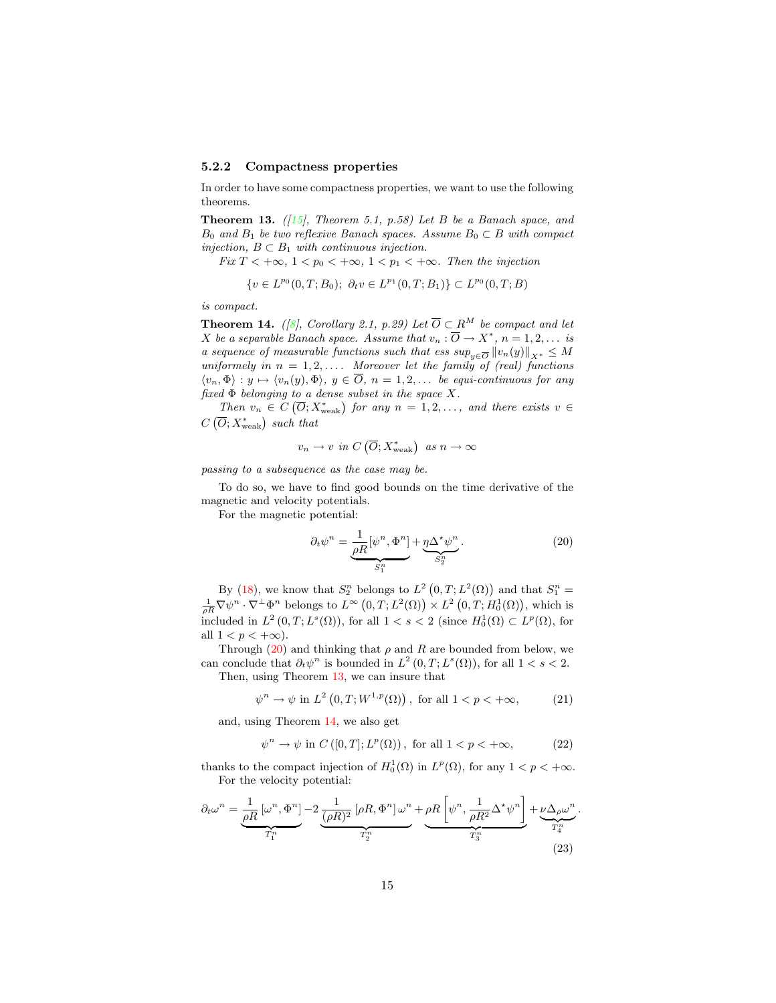#### 5.2.2 Compactness properties

<span id="page-14-1"></span>In order to have some compactness properties, we want to use the following theorems.

Theorem 13. *([\[15\]](#page-27-5), Theorem 5.1, p.58) Let* B *be a Banach space, and*  $B_0$  *and*  $B_1$  *be two reflexive Banach spaces. Assume*  $B_0 \subset B$  *with compact injection,*  $B \subset B_1$  *with continuous injection.* 

*Fix*  $T < +\infty$ ,  $1 < p_0 < +\infty$ ,  $1 < p_1 < +\infty$ *. Then the injection* 

$$
\{v \in L^{p_0}(0,T;B_0); \ \partial_t v \in L^{p_1}(0,T;B_1)\} \subset L^{p_0}(0,T;B)
$$

*is compact.*

<span id="page-14-2"></span>**Theorem 14.** *(* $\beta$ *)*, *Corollary 2.1, p.29)* Let  $\overline{O} \subset R^M$  be compact and let *X* be a separable Banach space. Assume that  $v_n : \overline{O} \to X^*$ ,  $n = 1, 2, \ldots$  is *a sequence of measurable functions such that ess sup*<sub> $w \in \overline{O} ||v_n(y)||_{X^*} \leq M$ </sub> *uniformely in*  $n = 1, 2, \ldots$  *Moreover let the family of (real) functions*  $\langle v_n, \Phi \rangle : y \mapsto \langle v_n(y), \Phi \rangle, y \in \overline{O}, n = 1, 2, \dots$  *be equi-continuous for any fixed* Φ *belonging to a dense subset in the space* X*.*

*Then*  $v_n \in C(\overline{O}; X_{weak}^*)$  *for any*  $n = 1, 2, ...,$  *and there exists*  $v \in C$  $C(\overline{O}; X_{\text{weak}}^*)$  such that

$$
v_n \to v \text{ in } C(\overline{O}; X^*_{\text{weak}}) \text{ as } n \to \infty
$$

*passing to a subsequence as the case may be.*

To do so, we have to find good bounds on the time derivative of the magnetic and velocity potentials.

<span id="page-14-0"></span>For the magnetic potential:

$$
\partial_t \psi^n = \underbrace{\frac{1}{\rho R} [\psi^n, \Phi^n]}_{S_1^n} + \underbrace{\eta \Delta^* \psi^n}_{S_2^n}.
$$
\n(20)

By [\(18\)](#page-13-0), we know that  $S_2^n$  belongs to  $L^2(0,T;L^2(\Omega))$  and that  $S_1^n =$  $\frac{1}{\rho R} \nabla \psi^n \cdot \nabla^{\perp} \Phi^n$  belongs to  $L^{\infty} (0,T; L^2(\Omega)) \times L^2 (0,T; H_0^1(\Omega)),$  which is included in  $L^2(0,T;L^s(\Omega))$ , for all  $1 < s < 2$  (since  $H_0^1(\Omega) \subset L^p(\Omega)$ , for all  $1 < p < +\infty$ ).

Through [\(20\)](#page-14-0) and thinking that  $\rho$  and R are bounded from below, we can conclude that  $\partial_t \psi^n$  is bounded in  $L^2(0,T;L^s(\Omega))$ , for all  $1 < s < 2$ . Then, using Theorem [13,](#page-14-1) we can insure that

$$
\psi^n \to \psi \text{ in } L^2\left(0, T; W^{1, p}(\Omega)\right), \text{ for all } 1 < p < +\infty,\tag{21}
$$

and, using Theorem [14,](#page-14-2) we also get

$$
\psi^n \to \psi \text{ in } C([0, T]; L^p(\Omega)), \text{ for all } 1 < p < +\infty,\tag{22}
$$

<span id="page-14-4"></span>thanks to the compact injection of  $H_0^1(\Omega)$  in  $L^p(\Omega)$ , for any  $1 < p < +\infty$ . For the velocity potential:

<span id="page-14-3"></span>
$$
\partial_t \omega^n = \underbrace{\frac{1}{\rho R} \left[ \omega^n, \Phi^n \right]}_{T_1^n} - 2 \underbrace{\frac{1}{(\rho R)^2} \left[ \rho R, \Phi^n \right] \omega^n}_{T_2^n} + \underbrace{\rho R \left[ \psi^n, \frac{1}{\rho R^2} \Delta^* \psi^n \right]}_{T_3^n} + \underbrace{\nu \Delta_\rho \omega^n}_{T_4^n}.
$$
\n(23)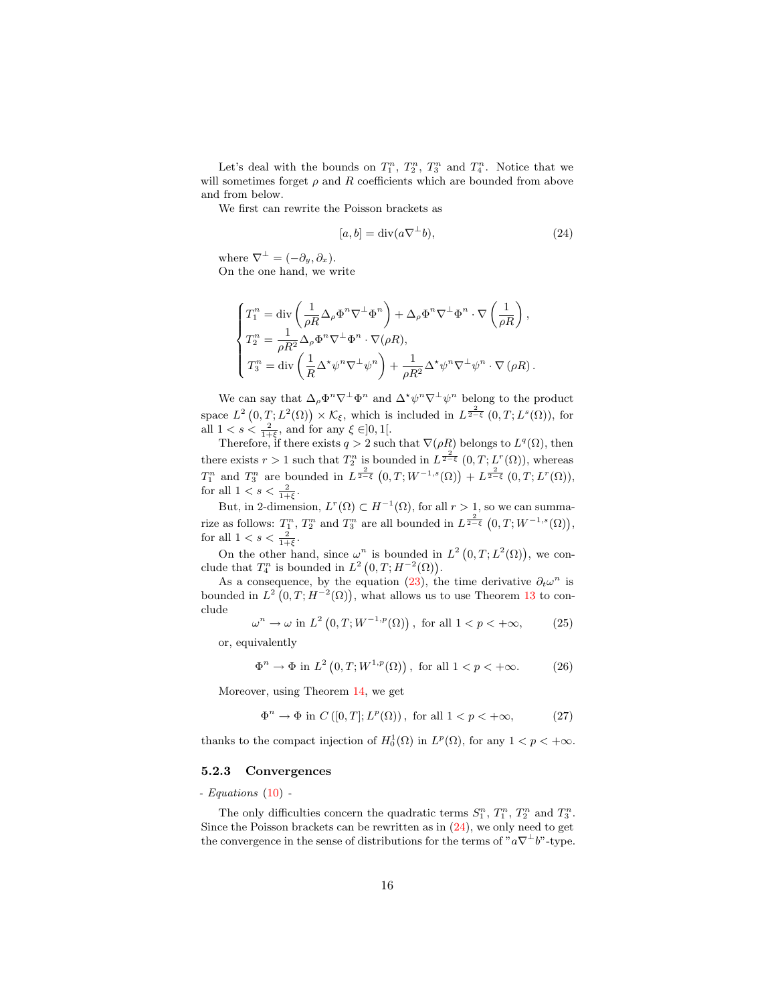Let's deal with the bounds on  $T_1^n$ ,  $T_2^n$ ,  $T_3^n$  and  $T_4^n$ . Notice that we will sometimes forget  $\rho$  and R coefficients which are bounded from above and from below.

<span id="page-15-0"></span>We first can rewrite the Poisson brackets as

$$
[a, b] = \text{div}(a\nabla^{\perp}b),\tag{24}
$$

where  $\nabla^{\perp} = (-\partial_y, \partial_x)$ . On the one hand, we write

$$
\begin{cases}\nT_1^n = \text{div}\left(\frac{1}{\rho R}\Delta_\rho\Phi^n\nabla^\perp\Phi^n\right) + \Delta_\rho\Phi^n\nabla^\perp\Phi^n \cdot \nabla\left(\frac{1}{\rho R}\right), \\
T_2^n = \frac{1}{\rho R^2}\Delta_\rho\Phi^n\nabla^\perp\Phi^n \cdot \nabla(\rho R), \\
T_3^n = \text{div}\left(\frac{1}{R}\Delta^\star\psi^n\nabla^\perp\psi^n\right) + \frac{1}{\rho R^2}\Delta^\star\psi^n\nabla^\perp\psi^n \cdot \nabla(\rho R).\n\end{cases}
$$

We can say that  $\Delta_{\rho} \Phi^n \nabla^{\perp} \Phi^n$  and  $\Delta^* \psi^n \nabla^{\perp} \psi^n$  belong to the product space  $L^2(0,T;L^2(\Omega)) \times \mathcal{K}_{\xi}$ , which is included in  $L^{\frac{2}{2-\xi}}(0,T;L^s(\Omega))$ , for all  $1 < s < \frac{2}{1+\xi}$ , and for any  $\xi \in ]0,1[$ .

Therefore, if there exists  $q > 2$  such that  $\nabla(\rho R)$  belongs to  $L^q(\Omega)$ , then there exists  $r > 1$  such that  $T_2^n$  is bounded in  $L^{\frac{2}{2-\xi}}(0,T;L^r(\Omega))$ , whereas  $T_1^n$  and  $T_3^n$  are bounded in  $L^{\frac{2}{2-\xi}}(0,T;W^{-1,s}(\Omega))+L^{\frac{2}{2-\xi}}(0,T;L^r(\Omega)),$ for all  $1 < s < \frac{2}{1+\xi}$ .

But, in 2-dimension,  $L^r(\Omega) \subset H^{-1}(\Omega)$ , for all  $r > 1$ , so we can summarize as follows:  $T_1^n$ ,  $T_2^n$  and  $T_3^n$  are all bounded in  $L^{\frac{2}{2-\xi}}(0,T;W^{-1,s}(\Omega)),$ for all  $1 < s < \frac{2}{1+\xi}$ .

On the other hand, since  $\omega^n$  is bounded in  $L^2(0,T;L^2(\Omega))$ , we conclude that  $T_4^n$  is bounded in  $L^2(0,T;H^{-2}(\Omega)).$ 

As a consequence, by the equation [\(23\)](#page-14-3), the time derivative  $\partial_t \omega^n$  is bounded in  $L^2(0,T;H^{-2}(\Omega))$ , what allows us to use Theorem [13](#page-14-1) to conclude

$$
\omega^n \to \omega \text{ in } L^2(0, T; W^{-1, p}(\Omega)), \text{ for all } 1 < p < +\infty,
$$
 (25) or, equivalently

 $\Phi^n \to \Phi$  in  $L^2(0,T;W^{1,p}(\Omega))$ , for all  $1 < p < +\infty$ . (26)

Moreover, using Theorem [14,](#page-14-2) we get

 $\Phi^n \to \Phi$  in  $C([0,T]; L^p(\Omega))$ , for all  $1 < p < +\infty$ , (27)

<span id="page-15-1"></span>thanks to the compact injection of  $H_0^1(\Omega)$  in  $L^p(\Omega)$ , for any  $1 < p < +\infty$ .

#### 5.2.3 Convergences

*- Equations* [\(10\)](#page-10-0) *-*

The only difficulties concern the quadratic terms  $S_1^n$ ,  $T_1^n$ ,  $T_2^n$  and  $T_3^n$ . Since the Poisson brackets can be rewritten as in [\(24\)](#page-15-0), we only need to get the convergence in the sense of distributions for the terms of " $a\nabla^{\perp}b$ "-type.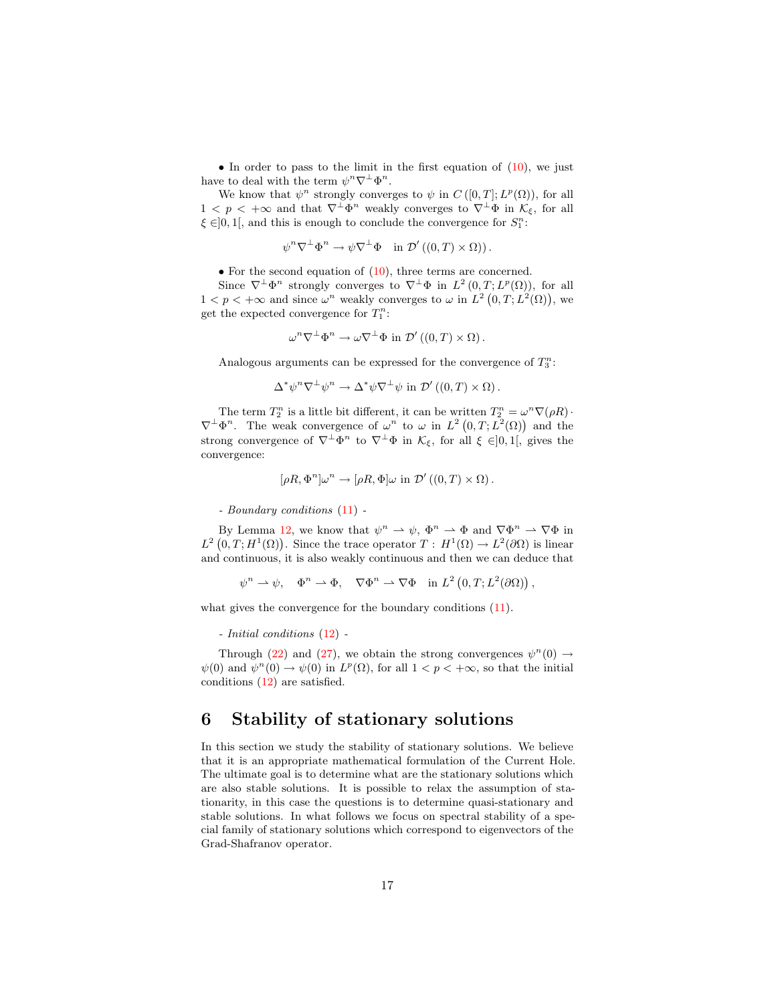• In order to pass to the limit in the first equation of  $(10)$ , we just have to deal with the term  $\psi^n \nabla^{\perp} \Phi^n$ .

We know that  $\psi^n$  strongly converges to  $\psi$  in  $C([0,T]; L^p(\Omega))$ , for all  $1 < p < +\infty$  and that  $\nabla^{\perp} \Phi^n$  weakly converges to  $\nabla^{\perp} \Phi$  in  $\mathcal{K}_{\xi}$ , for all  $\xi \in ]0,1[$ , and this is enough to conclude the convergence for  $S_1^n$ :

$$
\psi^n \nabla^{\perp} \Phi^n \to \psi \nabla^{\perp} \Phi \quad \text{in } \mathcal{D}'((0,T) \times \Omega)).
$$

• For the second equation of  $(10)$ , three terms are concerned.

Since  $\nabla^{\perp} \Phi^n$  strongly converges to  $\nabla^{\perp} \Phi$  in  $L^2(0,T;L^p(\Omega))$ , for all  $1 < p < +\infty$  and since  $\omega^n$  weakly converges to  $\omega$  in  $L^2(0,T;L^2(\Omega))$ , we get the expected convergence for  $T_1^n$ :

$$
\omega^n \nabla^{\perp} \Phi^n \to \omega \nabla^{\perp} \Phi \text{ in } \mathcal{D}'((0,T) \times \Omega).
$$

Analogous arguments can be expressed for the convergence of  $T_3^n$ :

 $\Delta^* \psi^n \nabla^{\perp} \psi^n \to \Delta^* \psi \nabla^{\perp} \psi$  in  $\mathcal{D}'((0,T) \times \Omega)$ .

The term  $T_2^n$  is a little bit different, it can be written  $T_2^n = \omega^n \nabla(\rho R)$ .  $\nabla^{\perp} \Phi^n$ . The weak convergence of  $\omega^n$  to  $\omega$  in  $L^2(0,T;L^2(\Omega))$  and the strong convergence of  $\nabla^{\perp} \Phi^n$  to  $\nabla^{\perp} \Phi$  in  $\mathcal{K}_{\xi}$ , for all  $\xi \in ]0,1[$ , gives the convergence:

$$
[\rho R, \Phi^n] \omega^n \to [\rho R, \Phi] \omega \text{ in } \mathcal{D}'((0, T) \times \Omega).
$$

*- Boundary conditions* [\(11\)](#page-10-1) *-*

By Lemma [12,](#page-13-3) we know that  $\psi^n \to \psi$ ,  $\Phi^n \to \Phi$  and  $\nabla \Phi^n \to \nabla \Phi$  in  $L^2(0,T;H^1(\Omega))$ . Since the trace operator  $T: H^1(\Omega) \to L^2(\partial\Omega)$  is linear and continuous, it is also weakly continuous and then we can deduce that

$$
\psi^n \rightharpoonup \psi, \quad \Phi^n \rightharpoonup \Phi, \quad \nabla \Phi^n \rightharpoonup \nabla \Phi \quad \text{in } L^2(0,T;L^2(\partial \Omega))\,,
$$

what gives the convergence for the boundary conditions  $(11)$ .

#### *- Initial conditions* [\(12\)](#page-10-2) *-*

Through [\(22\)](#page-14-4) and [\(27\)](#page-15-1), we obtain the strong convergences  $\psi^{n}(0) \rightarrow$  $\psi(0)$  and  $\psi^{n}(0) \to \psi(0)$  in  $L^{p}(\Omega)$ , for all  $1 < p < +\infty$ , so that the initial conditions [\(12\)](#page-10-2) are satisfied.

## 6 Stability of stationary solutions

In this section we study the stability of stationary solutions. We believe that it is an appropriate mathematical formulation of the Current Hole. The ultimate goal is to determine what are the stationary solutions which are also stable solutions. It is possible to relax the assumption of stationarity, in this case the questions is to determine quasi-stationary and stable solutions. In what follows we focus on spectral stability of a special family of stationary solutions which correspond to eigenvectors of the Grad-Shafranov operator.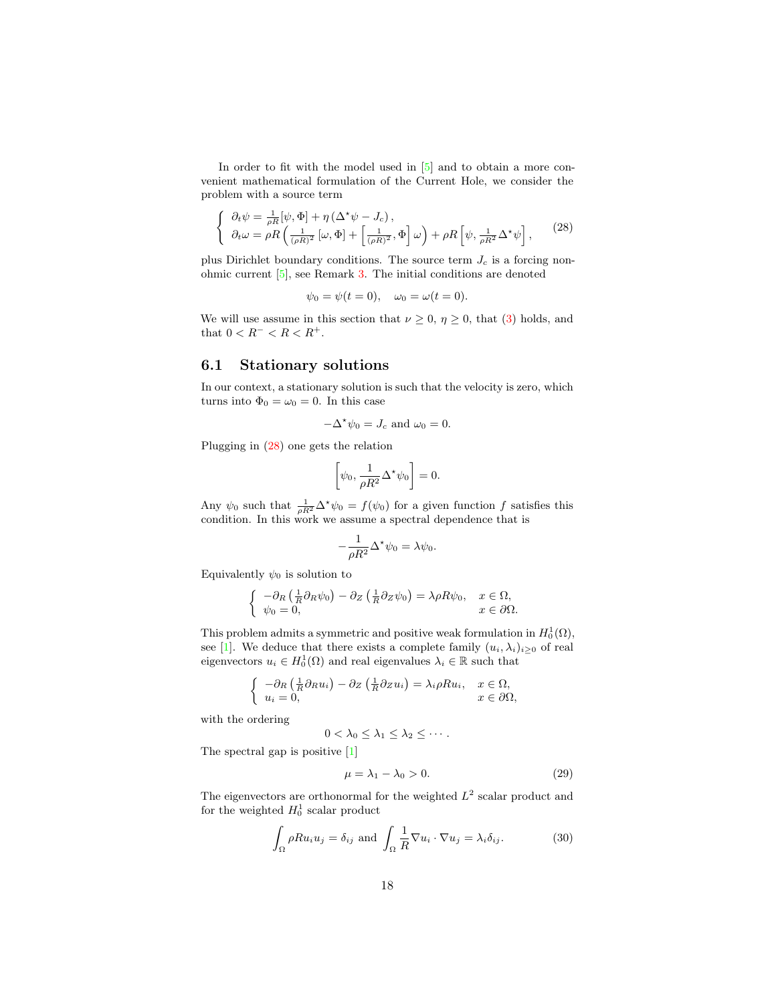In order to fit with the model used in  $[5]$  and to obtain a more convenient mathematical formulation of the Current Hole, we consider the problem with a source term

$$
\begin{cases} \n\partial_t \psi = \frac{1}{\rho R} [\psi, \Phi] + \eta \left( \Delta^* \psi - J_c \right), \\
\partial_t \omega = \rho R \left( \frac{1}{(\rho R)^2} [\omega, \Phi] + \left[ \frac{1}{(\rho R)^2}, \Phi \right] \omega \right) + \rho R \left[ \psi, \frac{1}{\rho R^2} \Delta^* \psi \right],\n\end{cases} (28)
$$

<span id="page-17-0"></span>plus Dirichlet boundary conditions. The source term  $J_c$  is a forcing nonohmic current [\[5\]](#page-26-1), see Remark [3.](#page-4-2) The initial conditions are denoted

$$
\psi_0 = \psi(t = 0), \quad \omega_0 = \omega(t = 0).
$$

We will use assume in this section that  $\nu \geq 0$ ,  $\eta \geq 0$ , that [\(3\)](#page-3-2) holds, and that  $0 < R^{-} < R < R^{+}$ .

#### 6.1 Stationary solutions

In our context, a stationary solution is such that the velocity is zero, which turns into  $\Phi_0 = \omega_0 = 0$ . In this case

$$
-\Delta^{\star}\psi_0 = J_c \text{ and } \omega_0 = 0.
$$

Plugging in [\(28\)](#page-17-0) one gets the relation

$$
\left[\psi_0, \frac{1}{\rho R^2} \Delta^* \psi_0\right] = 0.
$$

Any  $\psi_0$  such that  $\frac{1}{\rho R^2} \Delta^* \psi_0 = f(\psi_0)$  for a given function f satisfies this condition. In this work we assume a spectral dependence that is

$$
-\frac{1}{\rho R^2} \Delta^* \psi_0 = \lambda \psi_0.
$$

Equivalently  $\psi_0$  is solution to

$$
\begin{cases}\n-\partial_R\left(\frac{1}{R}\partial_R\psi_0\right) - \partial_Z\left(\frac{1}{R}\partial_Z\psi_0\right) = \lambda \rho R \psi_0, & x \in \Omega, \\
\psi_0 = 0, & x \in \partial\Omega.\n\end{cases}
$$

This problem admits a symmetric and positive weak formulation in  $H_0^1(\Omega)$ , see [\[1\]](#page-26-11). We deduce that there exists a complete family  $(u_i, \lambda_i)_{i \geq 0}$  of real eigenvectors  $u_i \in H_0^1(\Omega)$  and real eigenvalues  $\lambda_i \in \mathbb{R}$  such that

$$
\begin{cases}\n-\partial_R\left(\frac{1}{R}\partial_R u_i\right) - \partial_Z\left(\frac{1}{R}\partial_Z u_i\right) = \lambda_i \rho R u_i, & x \in \Omega, \\
u_i = 0, & x \in \partial\Omega,\n\end{cases}
$$

with the ordering

$$
0<\lambda_0\leq \lambda_1\leq \lambda_2\leq \cdots.
$$

The spectral gap is positive [\[1\]](#page-26-11)

$$
\mu = \lambda_1 - \lambda_0 > 0. \tag{29}
$$

<span id="page-17-2"></span><span id="page-17-1"></span>The eigenvectors are orthonormal for the weighted  $L^2$  scalar product and for the weighted  $H_0^1$  scalar product

$$
\int_{\Omega} \rho R u_i u_j = \delta_{ij} \text{ and } \int_{\Omega} \frac{1}{R} \nabla u_i \cdot \nabla u_j = \lambda_i \delta_{ij}.
$$
 (30)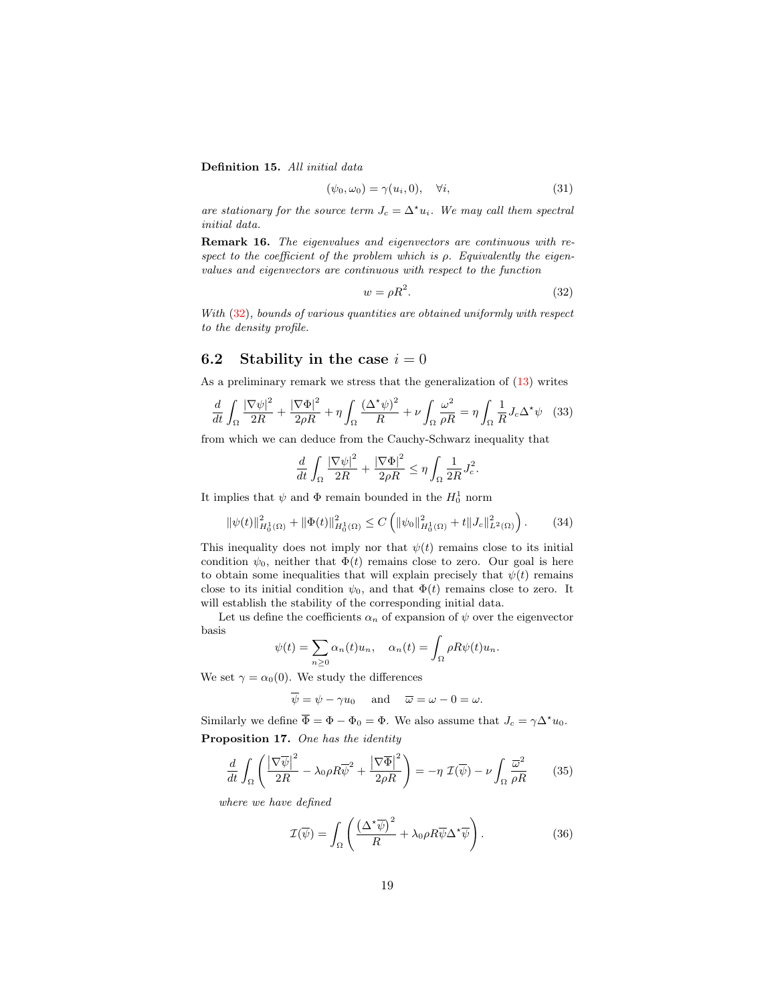Definition 15. *All initial data*

$$
(\psi_0, \omega_0) = \gamma(u_i, 0), \quad \forall i,
$$
\n(31)

*are stationary for the source term*  $J_c = \Delta^{\star} u_i$ *. We may call them spectral initial data.*

Remark 16. *The eigenvalues and eigenvectors are continuous with respect to the coefficient of the problem which is* ρ*. Equivalently the eigenvalues and eigenvectors are continuous with respect to the function*

$$
w = \rho R^2. \tag{32}
$$

<span id="page-18-0"></span>*With* [\(32\)](#page-18-0)*, bounds of various quantities are obtained uniformly with respect to the density profile.*

### 6.2 Stability in the case  $i = 0$

As a preliminary remark we stress that the generalization of [\(13\)](#page-11-0) writes

$$
\frac{d}{dt} \int_{\Omega} \frac{|\nabla \psi|^2}{2R} + \frac{|\nabla \Phi|^2}{2\rho R} + \eta \int_{\Omega} \frac{(\Delta^* \psi)^2}{R} + \nu \int_{\Omega} \frac{\omega^2}{\rho R} = \eta \int_{\Omega} \frac{1}{R} J_c \Delta^* \psi \quad (33)
$$

from which we can deduce from the Cauchy-Schwarz inequality that

$$
\frac{d}{dt} \int_{\Omega} \frac{|\nabla \psi|^2}{2R} + \frac{|\nabla \Phi|^2}{2\rho R} \le \eta \int_{\Omega} \frac{1}{2R} J_c^2.
$$

It implies that  $\psi$  and  $\Phi$  remain bounded in the  $H_0^1$  norm

$$
\|\psi(t)\|_{H_0^1(\Omega)}^2 + \|\Phi(t)\|_{H_0^1(\Omega)}^2 \le C \left( \|\psi_0\|_{H_0^1(\Omega)}^2 + t \|J_c\|_{L^2(\Omega)}^2 \right). \tag{34}
$$

<span id="page-18-2"></span>This inequality does not imply nor that  $\psi(t)$  remains close to its initial condition  $\psi_0$ , neither that  $\Phi(t)$  remains close to zero. Our goal is here to obtain some inequalities that will explain precisely that  $\psi(t)$  remains close to its initial condition  $\psi_0$ , and that  $\Phi(t)$  remains close to zero. It will establish the stability of the corresponding initial data.

Let us define the coefficients  $\alpha_n$  of expansion of  $\psi$  over the eigenvector basis

$$
\psi(t) = \sum_{n\geq 0} \alpha_n(t) u_n, \quad \alpha_n(t) = \int_{\Omega} \rho R \psi(t) u_n.
$$

We set  $\gamma = \alpha_0(0)$ . We study the differences

$$
\overline{\psi} = \psi - \gamma u_0
$$
 and  $\overline{\omega} = \omega - 0 = \omega$ .

<span id="page-18-1"></span>Similarly we define  $\overline{\Phi} = \Phi - \Phi_0 = \Phi$ . We also assume that  $J_c = \gamma \Delta^* u_0$ . Proposition 17. *One has the identity*

$$
\frac{d}{dt} \int_{\Omega} \left( \frac{|\nabla \overline{\psi}|^2}{2R} - \lambda_0 \rho R \overline{\psi}^2 + \frac{|\nabla \overline{\Phi}|^2}{2\rho R} \right) = -\eta \ \mathcal{I}(\overline{\psi}) - \nu \int_{\Omega} \frac{\overline{\omega}^2}{\rho R} \tag{35}
$$

<span id="page-18-3"></span>*where we have defined*

$$
\mathcal{I}(\overline{\psi}) = \int_{\Omega} \left( \frac{(\Delta^* \overline{\psi})^2}{R} + \lambda_0 \rho R \overline{\psi} \Delta^* \overline{\psi} \right). \tag{36}
$$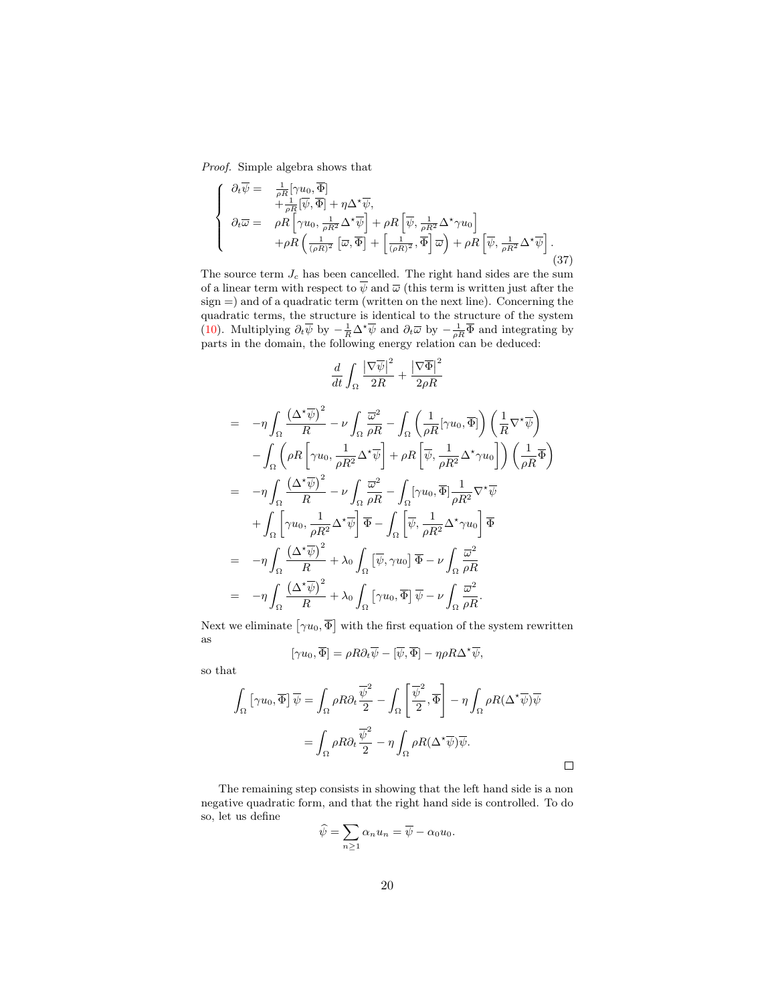<span id="page-19-0"></span>*Proof.* Simple algebra shows that

$$
\begin{cases}\n\partial_t \overline{\psi} = \frac{1}{\rho R} [\gamma u_0, \overline{\Phi}] \\
+ \frac{1}{\rho R} [\overline{\psi}, \overline{\Phi}] + \eta \Delta^* \overline{\psi}, \\
\partial_t \overline{\omega} = \rho R \left[ \gamma u_0, \frac{1}{\rho R^2} \Delta^* \overline{\psi} \right] + \rho R \left[ \overline{\psi}, \frac{1}{\rho R^2} \Delta^* \gamma u_0 \right] \\
+ \rho R \left( \frac{1}{(\rho R)^2} [\overline{\omega}, \overline{\Phi}] + \left[ \frac{1}{(\rho R)^2}, \overline{\Phi} \right] \overline{\omega} \right) + \rho R \left[ \overline{\psi}, \frac{1}{\rho R^2} \Delta^* \overline{\psi} \right].\n\end{cases} (37)
$$

The source term  $J_c$  has been cancelled. The right hand sides are the sum of a linear term with respect to  $\overline{\psi}$  and  $\overline{\omega}$  (this term is written just after the sign =) and of a quadratic term (written on the next line). Concerning the quadratic terms, the structure is identical to the structure of the system [\(10\)](#page-10-0). Multiplying  $\partial_t \overline{\psi}$  by  $-\frac{1}{R} \Delta^* \overline{\psi}$  and  $\partial_t \overline{\omega}$  by  $-\frac{1}{\rho R} \overline{\Phi}$  and integrating by parts in the domain, the following energy relation can be deduced:

$$
\frac{d}{dt} \int_{\Omega} \frac{|\nabla \overline{\psi}|^2}{2R} + \frac{|\nabla \overline{\Phi}|^2}{2\rho R}
$$
\n
$$
= -\eta \int_{\Omega} \frac{(\Delta^* \overline{\psi})^2}{R} - \nu \int_{\Omega} \frac{\overline{\omega}^2}{\rho R} - \int_{\Omega} \left(\frac{1}{\rho R} [\gamma u_0, \overline{\Phi}] \right) \left(\frac{1}{R} \nabla^* \overline{\psi}\right)
$$
\n
$$
- \int_{\Omega} \left(\rho R \left[\gamma u_0, \frac{1}{\rho R^2} \Delta^* \overline{\psi}\right] + \rho R \left[\overline{\psi}, \frac{1}{\rho R^2} \Delta^* \gamma u_0\right] \right) \left(\frac{1}{\rho R} \overline{\Phi}\right)
$$
\n
$$
= -\eta \int_{\Omega} \frac{(\Delta^* \overline{\psi})^2}{R} - \nu \int_{\Omega} \frac{\overline{\omega}^2}{\rho R} - \int_{\Omega} [\gamma u_0, \overline{\Phi}] \frac{1}{\rho R^2} \nabla^* \overline{\psi}
$$
\n
$$
+ \int_{\Omega} \left[\gamma u_0, \frac{1}{\rho R^2} \Delta^* \overline{\psi}\right] \overline{\Phi} - \int_{\Omega} \left[\overline{\psi}, \frac{1}{\rho R^2} \Delta^* \gamma u_0\right] \overline{\Phi}
$$
\n
$$
= -\eta \int_{\Omega} \frac{(\Delta^* \overline{\psi})^2}{R} + \lambda_0 \int_{\Omega} \left[\overline{\psi}, \gamma u_0\right] \overline{\Phi} - \nu \int_{\Omega} \frac{\overline{\omega}^2}{\rho R}
$$
\n
$$
= -\eta \int_{\Omega} \frac{(\Delta^* \overline{\psi})^2}{R} + \lambda_0 \int_{\Omega} [\gamma u_0, \overline{\Phi}] \overline{\psi} - \nu \int_{\Omega} \frac{\overline{\omega}^2}{\rho R}.
$$

Next we eliminate  $\lceil \gamma u_0, \overline{\Phi} \rceil$  with the first equation of the system rewritten as

$$
[\gamma u_0, \overline{\Phi}] = \rho R \partial_t \overline{\psi} - [\overline{\psi}, \overline{\Phi}] - \eta \rho R \Delta^{\star} \overline{\psi},
$$

so that

$$
\int_{\Omega} \left[ \gamma u_0, \overline{\Phi} \right] \overline{\psi} = \int_{\Omega} \rho R \partial_t \frac{\overline{\psi}^2}{2} - \int_{\Omega} \left[ \frac{\overline{\psi}^2}{2}, \overline{\Phi} \right] - \eta \int_{\Omega} \rho R (\Delta^* \overline{\psi}) \overline{\psi}
$$

$$
= \int_{\Omega} \rho R \partial_t \frac{\overline{\psi}^2}{2} - \eta \int_{\Omega} \rho R (\Delta^* \overline{\psi}) \overline{\psi}.
$$

The remaining step consists in showing that the left hand side is a non negative quadratic form, and that the right hand side is controlled. To do so, let us define

$$
\widehat{\psi} = \sum_{n \ge 1} \alpha_n u_n = \overline{\psi} - \alpha_0 u_0.
$$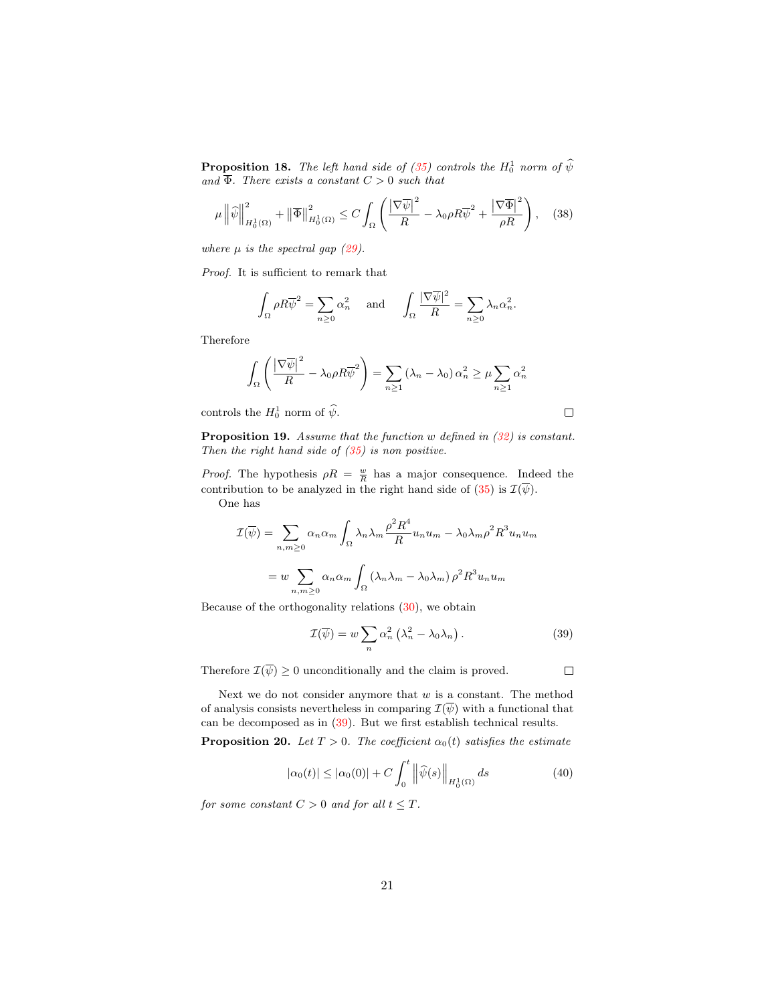**Proposition 18.** *The left hand side of [\(35\)](#page-18-1) controls the*  $H_0^1$  *norm of*  $\widehat{\psi}$ *and*  $\overline{\Phi}$ *. There exists a constant*  $C > 0$  *such that* 

$$
\mu \left\| \widehat{\psi} \right\|_{H_0^1(\Omega)}^2 + \left\| \overline{\Phi} \right\|_{H_0^1(\Omega)}^2 \le C \int_{\Omega} \left( \frac{\left| \nabla \overline{\psi} \right|^2}{R} - \lambda_0 \rho R \overline{\psi}^2 + \frac{\left| \nabla \overline{\Phi} \right|^2}{\rho R} \right), \quad (38)
$$

<span id="page-20-3"></span>*where*  $\mu$  *is the spectral gap* [\(29\)](#page-17-1)*.* 

*Proof.* It is sufficient to remark that

$$
\int_{\Omega} \rho R \overline{\psi}^2 = \sum_{n \ge 0} \alpha_n^2 \quad \text{and} \quad \int_{\Omega} \frac{|\nabla \overline{\psi}|^2}{R} = \sum_{n \ge 0} \lambda_n \alpha_n^2.
$$

Therefore

$$
\int_{\Omega} \left( \frac{\left| \nabla \overline{\psi} \right|^2}{R} - \lambda_0 \rho R \overline{\psi}^2 \right) = \sum_{n \ge 1} (\lambda_n - \lambda_0) \alpha_n^2 \ge \mu \sum_{n \ge 1} \alpha_n^2
$$

controls the  $H_0^1$  norm of  $\hat{\psi}$ .

<span id="page-20-2"></span>Proposition 19. *Assume that the function* w *defined in [\(32\)](#page-18-0) is constant. Then the right hand side of [\(35\)](#page-18-1) is non positive.*

*Proof.* The hypothesis  $\rho R = \frac{w}{R}$  has a major consequence. Indeed the contribution to be analyzed in the right hand side of [\(35\)](#page-18-1) is  $\mathcal{I}(\overline{\psi})$ . One has

$$
\mathcal{I}(\overline{\psi}) = \sum_{n,m \ge 0} \alpha_n \alpha_m \int_{\Omega} \lambda_n \lambda_m \frac{\rho^2 R^4}{R} u_n u_m - \lambda_0 \lambda_m \rho^2 R^3 u_n u_m
$$

$$
= w \sum_{n,m \ge 0} \alpha_n \alpha_m \int_{\Omega} (\lambda_n \lambda_m - \lambda_0 \lambda_m) \rho^2 R^3 u_n u_m
$$

<span id="page-20-0"></span>Because of the orthogonality relations [\(30\)](#page-17-2), we obtain

$$
\mathcal{I}(\overline{\psi}) = w \sum_{n} \alpha_n^2 \left( \lambda_n^2 - \lambda_0 \lambda_n \right). \tag{39}
$$

Therefore  $\mathcal{I}(\overline{\psi}) \geq 0$  unconditionally and the claim is proved.

Next we do not consider anymore that  $w$  is a constant. The method of analysis consists nevertheless in comparing  $\mathcal{I}(\overline{\psi})$  with a functional that can be decomposed as in [\(39\)](#page-20-0). But we first establish technical results.

**Proposition 20.** *Let*  $T > 0$ *. The coefficient*  $\alpha_0(t)$  *satisfies the estimate* 

$$
|\alpha_0(t)| \le |\alpha_0(0)| + C \int_0^t \left\|\widehat{\psi}(s)\right\|_{H_0^1(\Omega)} ds \tag{40}
$$

<span id="page-20-1"></span>*for some constant*  $C > 0$  *and for all*  $t \leq T$ *.* 

 $\Box$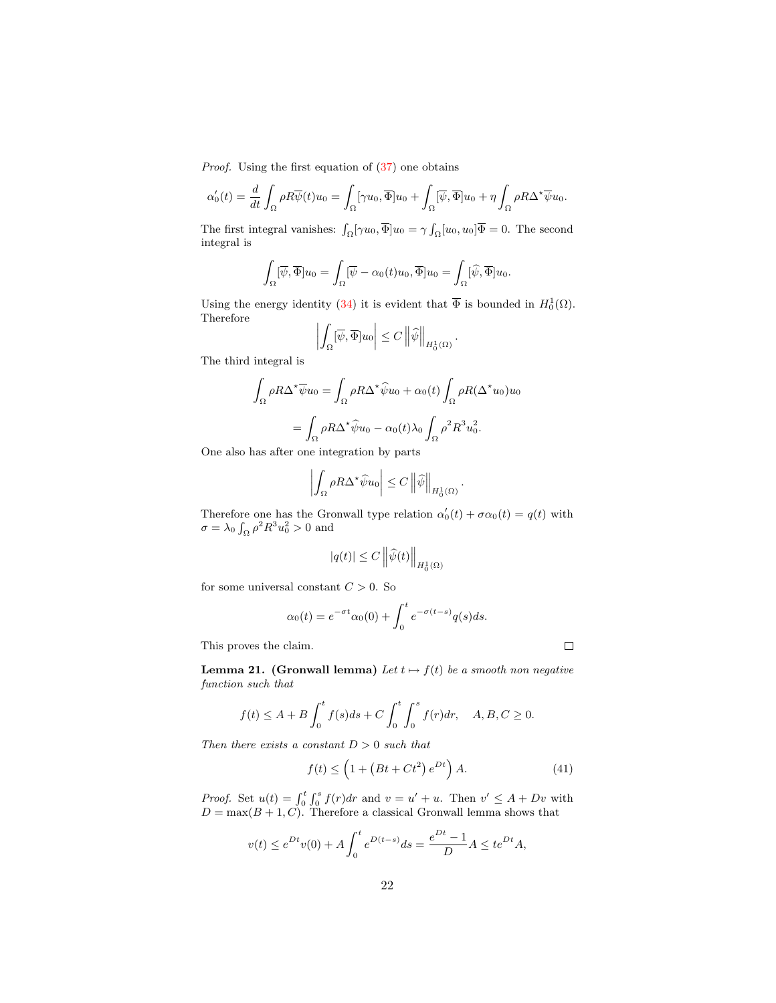*Proof.* Using the first equation of  $(37)$  one obtains

$$
\alpha'_0(t) = \frac{d}{dt} \int_{\Omega} \rho R \overline{\psi}(t) u_0 = \int_{\Omega} [\gamma u_0, \overline{\Phi}] u_0 + \int_{\Omega} [\overline{\psi}, \overline{\Phi}] u_0 + \eta \int_{\Omega} \rho R \Delta^* \overline{\psi} u_0.
$$

The first integral vanishes:  $\int_{\Omega} [\gamma u_0, \overline{\Phi}] u_0 = \gamma \int_{\Omega} [u_0, u_0] \overline{\Phi} = 0$ . The second integral is

$$
\int_{\Omega} [\overline{\psi}, \overline{\Phi}] u_0 = \int_{\Omega} [\overline{\psi} - \alpha_0(t)u_0, \overline{\Phi}] u_0 = \int_{\Omega} [\widehat{\psi}, \overline{\Phi}] u_0.
$$

Using the energy identity [\(34\)](#page-18-2) it is evident that  $\overline{\Phi}$  is bounded in  $H_0^1(\Omega)$ . Therefore  $\mathbf{a}$ 

$$
\left| \int_{\Omega} [\overline{\psi}, \overline{\Phi}] u_0 \right| \leq C \left\| \widehat{\psi} \right\|_{H_0^1(\Omega)}.
$$

The third integral is

$$
\int_{\Omega} \rho R \Delta^* \overline{\psi} u_0 = \int_{\Omega} \rho R \Delta^* \widehat{\psi} u_0 + \alpha_0(t) \int_{\Omega} \rho R (\Delta^* u_0) u_0
$$

$$
= \int_{\Omega} \rho R \Delta^* \widehat{\psi} u_0 - \alpha_0(t) \lambda_0 \int_{\Omega} \rho^2 R^3 u_0^2.
$$

One also has after one integration by parts

$$
\left| \int_{\Omega} \rho R \Delta^{\star} \widehat{\psi} u_0 \right| \leq C \left\| \widehat{\psi} \right\|_{H^1_0(\Omega)}.
$$

Therefore one has the Gronwall type relation  $\alpha'_0(t) + \sigma \alpha_0(t) = q(t)$  with  $\sigma = \lambda_0 \int_{\Omega} \rho^2 R^3 u_0^2 > 0$  and

$$
|q(t)| \le C \left\|\widehat{\psi}(t)\right\|_{H_0^1(\Omega)}
$$

for some universal constant  $C > 0$ . So

$$
\alpha_0(t) = e^{-\sigma t} \alpha_0(0) + \int_0^t e^{-\sigma(t-s)} q(s) ds.
$$

This proves the claim.

<span id="page-21-0"></span>**Lemma 21.** (Gronwall lemma) *Let*  $t \mapsto f(t)$  *be a smooth non negative function such that*

$$
f(t) \le A + B \int_0^t f(s)ds + C \int_0^t \int_0^s f(r)dr, \quad A, B, C \ge 0.
$$

*Then there exists a constant* D > 0 *such that*

$$
f(t) \le \left(1 + \left(Bt + Ct^2\right)e^{Dt}\right)A.
$$
 (41)

*Proof.* Set  $u(t) = \int_0^t \int_0^s f(r) dr$  and  $v = u' + u$ . Then  $v' \leq A + Dv$  with  $D = \max(B + 1, C)$ . Therefore a classical Gronwall lemma shows that

$$
v(t) \le e^{Dt}v(0) + A \int_0^t e^{D(t-s)} ds = \frac{e^{Dt} - 1}{D} A \le t e^{Dt} A,
$$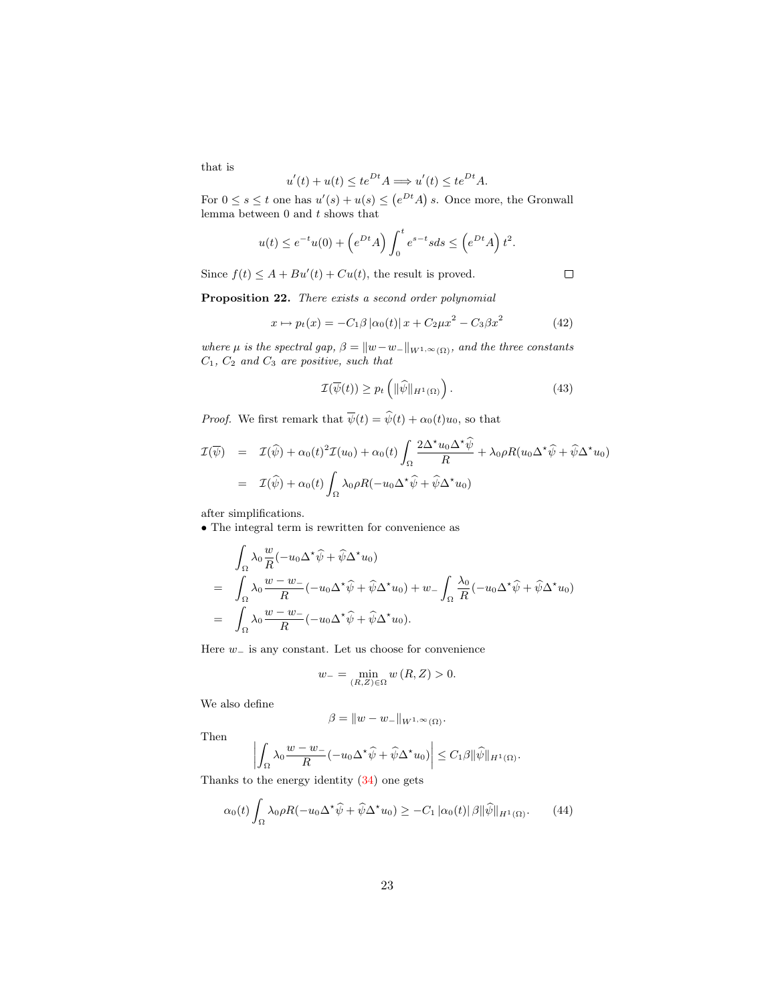that is

$$
u'(t) + u(t) \le te^{Dt}A \Longrightarrow u'(t) \le te^{Dt}A.
$$

For  $0 \leq s \leq t$  one has  $u'(s) + u(s) \leq (e^{Dt}A) s$ . Once more, the Gronwall lemma between  $0$  and  $t$  shows that

$$
u(t) \le e^{-t}u(0) + \left(e^{Dt}A\right)\int_0^t e^{s-t}sds \le \left(e^{Dt}A\right)t^2.
$$

Since  $f(t) \leq A + Bu'(t) + Cu(t)$ , the result is proved.

<span id="page-22-0"></span>Proposition 22. *There exists a second order polynomial*

$$
x \mapsto p_t(x) = -C_1 \beta |\alpha_0(t)| x + C_2 \mu x^2 - C_3 \beta x^2 \tag{42}
$$

*where*  $\mu$  *is the spectral gap,*  $\beta = ||w-w_-||_{W^{1,\infty}(\Omega)}$ *, and the three constants* C1*,* C<sup>2</sup> *and* C<sup>3</sup> *are positive, such that*

$$
\mathcal{I}(\overline{\psi}(t)) \ge p_t \left( \| \widehat{\psi} \|_{H^1(\Omega)} \right). \tag{43}
$$

<span id="page-22-1"></span>*Proof.* We first remark that  $\overline{\psi}(t) = \hat{\psi}(t) + \alpha_0(t)u_0$ , so that

$$
\mathcal{I}(\overline{\psi}) = \mathcal{I}(\widehat{\psi}) + \alpha_0(t)^2 \mathcal{I}(u_0) + \alpha_0(t) \int_{\Omega} \frac{2\Delta^* u_0 \Delta^* \widehat{\psi}}{R} + \lambda_0 \rho R(u_0 \Delta^* \widehat{\psi} + \widehat{\psi} \Delta^* u_0)
$$
  
=  $\mathcal{I}(\widehat{\psi}) + \alpha_0(t) \int_{\Omega} \lambda_0 \rho R(-u_0 \Delta^* \widehat{\psi} + \widehat{\psi} \Delta^* u_0)$ 

after simplifications.

• The integral term is rewritten for convenience as

$$
\int_{\Omega} \lambda_0 \frac{w}{R} (-u_0 \Delta^* \widehat{\psi} + \widehat{\psi} \Delta^* u_0)
$$
\n
$$
= \int_{\Omega} \lambda_0 \frac{w - w_-}{R} (-u_0 \Delta^* \widehat{\psi} + \widehat{\psi} \Delta^* u_0) + w_- \int_{\Omega} \frac{\lambda_0}{R} (-u_0 \Delta^* \widehat{\psi} + \widehat{\psi} \Delta^* u_0)
$$
\n
$$
= \int_{\Omega} \lambda_0 \frac{w - w_-}{R} (-u_0 \Delta^* \widehat{\psi} + \widehat{\psi} \Delta^* u_0).
$$

Here w<sup>−</sup> is any constant. Let us choose for convenience

$$
w_{-} = \min_{(R,Z)\in\Omega} w(R,Z) > 0.
$$

We also define

$$
\beta = \|w - w_-\|_{W^{1,\infty}(\Omega)}.
$$

Then

$$
\left| \int_{\Omega} \lambda_0 \frac{w - w_-}{R} (-u_0 \Delta^* \widehat{\psi} + \widehat{\psi} \Delta^* u_0) \right| \leq C_1 \beta \|\widehat{\psi}\|_{H^1(\Omega)}.
$$

Thanks to the energy identity [\(34\)](#page-18-2) one gets

$$
\alpha_0(t) \int_{\Omega} \lambda_0 \rho R(-u_0 \Delta^* \widehat{\psi} + \widehat{\psi} \Delta^* u_0) \ge -C_1 |\alpha_0(t)| \beta \| \widehat{\psi} \|_{H^1(\Omega)}.
$$
 (44)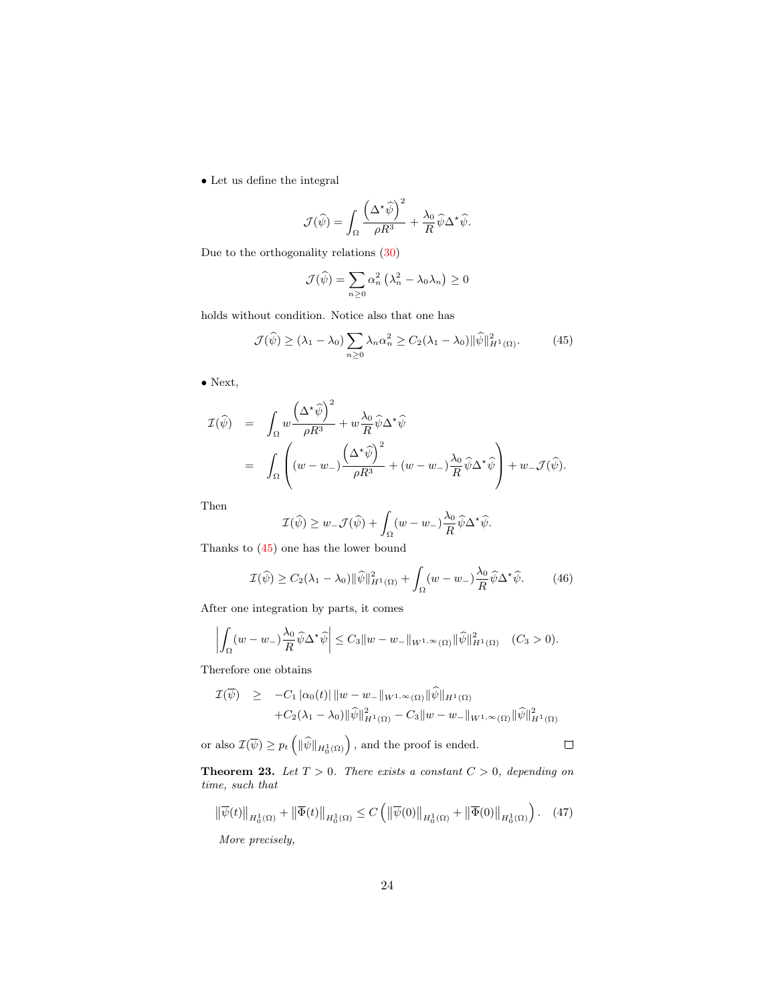• Let us define the integral

$$
\mathcal{J}(\widehat{\psi}) = \int_{\Omega} \frac{\left(\Delta^{\star}\widehat{\psi}\right)^2}{\rho R^3} + \frac{\lambda_0}{R}\widehat{\psi}\Delta^{\star}\widehat{\psi}.
$$

Due to the orthogonality relations [\(30\)](#page-17-2)

$$
\mathcal{J}(\widehat{\psi}) = \sum_{n\geq 0} \alpha_n^2 \left(\lambda_n^2 - \lambda_0 \lambda_n\right) \geq 0
$$

<span id="page-23-0"></span>holds without condition. Notice also that one has

$$
\mathcal{J}(\widehat{\psi}) \ge (\lambda_1 - \lambda_0) \sum_{n \ge 0} \lambda_n \alpha_n^2 \ge C_2(\lambda_1 - \lambda_0) \|\widehat{\psi}\|_{H^1(\Omega)}^2.
$$
 (45)

• Next,

$$
\mathcal{I}(\widehat{\psi}) = \int_{\Omega} w \frac{(\Delta^{\star} \widehat{\psi})^2}{\rho R^3} + w \frac{\lambda_0}{R} \widehat{\psi} \Delta^{\star} \widehat{\psi}
$$
  
= 
$$
\int_{\Omega} \left( (w - w_{-}) \frac{(\Delta^{\star} \widehat{\psi})^2}{\rho R^3} + (w - w_{-}) \frac{\lambda_0}{R} \widehat{\psi} \Delta^{\star} \widehat{\psi} \right) + w_{-} \mathcal{J}(\widehat{\psi}).
$$

Then

$$
\mathcal{I}(\widehat{\psi}) \geq w_- \mathcal{J}(\widehat{\psi}) + \int_{\Omega} (w - w_-) \frac{\lambda_0}{R} \widehat{\psi} \Delta^{\star} \widehat{\psi}.
$$

Thanks to [\(45\)](#page-23-0) one has the lower bound

$$
\mathcal{I}(\widehat{\psi}) \ge C_2(\lambda_1 - \lambda_0) \|\widehat{\psi}\|_{H^1(\Omega)}^2 + \int_{\Omega} (w - w_{-}) \frac{\lambda_0}{R} \widehat{\psi} \Delta^{\star} \widehat{\psi}.
$$
 (46)

After one integration by parts, it comes

$$
\left| \int_{\Omega} (w - w_-) \frac{\lambda_0}{R} \widehat{\psi} \Delta^* \widehat{\psi} \right| \leq C_3 \|w - w_-\|_{W^{1,\infty}(\Omega)} \|\widehat{\psi}\|_{H^1(\Omega)}^2 \quad (C_3 > 0).
$$

Therefore one obtains

$$
\mathcal{I}(\overline{\psi}) \geq -C_1 |\alpha_0(t)| \|w - w_-\|_{W^{1,\infty}(\Omega)} \|\widehat{\psi}\|_{H^1(\Omega)} \n+ C_2(\lambda_1 - \lambda_0) \|\widehat{\psi}\|_{H^1(\Omega)}^2 - C_3 \|w - w_-\|_{W^{1,\infty}(\Omega)} \|\widehat{\psi}\|_{H^1(\Omega)}^2
$$

or also  $\mathcal{I}(\overline{\psi}) \geq p_t \left( \|\widehat{\psi}\|_{H_0^1(\Omega)} \right)$ , and the proof is ended.

<span id="page-23-1"></span>**Theorem 23.** Let  $T > 0$ . There exists a constant  $C > 0$ , depending on *time, such that*

$$
\left\|\overline{\psi}(t)\right\|_{H_0^1(\Omega)} + \left\|\overline{\Phi}(t)\right\|_{H_0^1(\Omega)} \le C \left( \left\|\overline{\psi}(0)\right\|_{H_0^1(\Omega)} + \left\|\overline{\Phi}(0)\right\|_{H_0^1(\Omega)} \right). \tag{47}
$$

*More precisely,*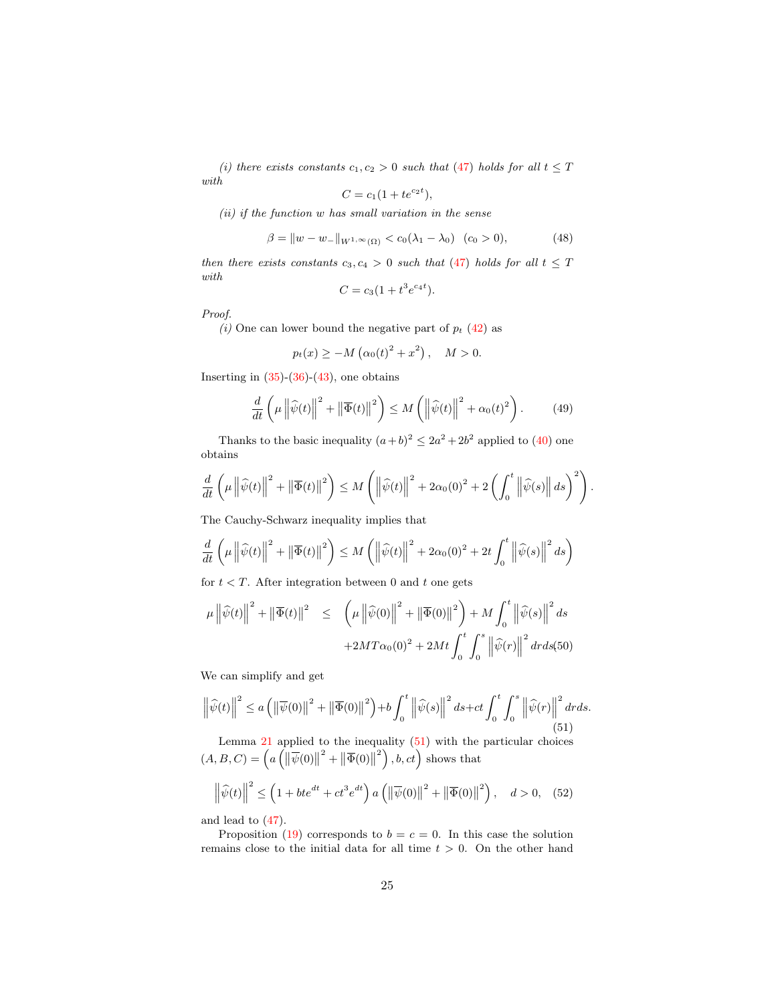*(i) there exists constants*  $c_1, c_2 > 0$  *such that* [\(47\)](#page-23-1) *holds for all*  $t \leq T$ *with*

$$
C = c_1(1 + te^{c_2 t}),
$$

*(ii) if the function* w *has small variation in the sense*

$$
\beta = \|w - w_-\|_{W^{1,\infty}(\Omega)} < c_0(\lambda_1 - \lambda_0) \quad (c_0 > 0), \tag{48}
$$

*then there exists constants*  $c_3, c_4 > 0$  *such that* [\(47\)](#page-23-1) *holds for all*  $t \leq T$ *with*

$$
C = c_3(1 + t^3 e^{c_4 t}).
$$

*Proof.*

*(i)* One can lower bound the negative part of  $p_t$  [\(42\)](#page-22-0) as

$$
p_t(x) \ge -M(\alpha_0(t)^2 + x^2), \quad M > 0.
$$

<span id="page-24-1"></span>Inserting in  $(35)-(36)-(43)$  $(35)-(36)-(43)$  $(35)-(36)-(43)$  $(35)-(36)-(43)$ , one obtains

$$
\frac{d}{dt}\left(\mu \left\|\widehat{\psi}(t)\right\|^2 + \left\|\overline{\Phi}(t)\right\|^2\right) \le M\left(\left\|\widehat{\psi}(t)\right\|^2 + \alpha_0(t)^2\right). \tag{49}
$$

Thanks to the basic inequality  $(a+b)^2 \leq 2a^2 + 2b^2$  applied to [\(40\)](#page-20-1) one obtains

$$
\frac{d}{dt}\left(\mu \left\|\widehat{\psi}(t)\right\|^2 + \left\|\overline{\Phi}(t)\right\|^2\right) \leq M\left(\left\|\widehat{\psi}(t)\right\|^2 + 2\alpha_0(0)^2 + 2\left(\int_0^t \left\|\widehat{\psi}(s)\right\|ds\right)^2\right).
$$

The Cauchy-Schwarz inequality implies that

$$
\frac{d}{dt}\left(\mu \left\|\widehat{\psi}(t)\right\|^2 + \left\|\overline{\Phi}(t)\right\|^2\right) \le M\left(\left\|\widehat{\psi}(t)\right\|^2 + 2\alpha_0(0)^2 + 2t\int_0^t \left\|\widehat{\psi}(s)\right\|^2 ds\right)
$$

for  $t < T$ . After integration between 0 and t one gets

$$
\mu \left\| \widehat{\psi}(t) \right\|^2 + \left\| \overline{\Phi}(t) \right\|^2 \leq \left( \mu \left\| \widehat{\psi}(0) \right\|^2 + \left\| \overline{\Phi}(0) \right\|^2 \right) + M \int_0^t \left\| \widehat{\psi}(s) \right\|^2 ds
$$

$$
+ 2MT\alpha_0(0)^2 + 2Mt \int_0^t \int_0^s \left\| \widehat{\psi}(r) \right\|^2 dr ds (50)
$$

We can simplify and get

<span id="page-24-0"></span>
$$
\left\|\widehat{\psi}(t)\right\|^2 \le a \left(\left\|\overline{\psi}(0)\right\|^2 + \left\|\overline{\Phi}(0)\right\|^2\right) + b \int_0^t \left\|\widehat{\psi}(s)\right\|^2 ds + ct \int_0^t \int_0^s \left\|\widehat{\psi}(r)\right\|^2 dr ds. \tag{51}
$$

Lemma [21](#page-21-0) applied to the inequality  $(51)$  with the particular choices  $(A, B, C) = \left(a \left(\left\|\overline{\psi}(0)\right\|^2 + \left\|\overline{\Phi}(0)\right\|^2\right), b, ct\right)$  shows that

$$
\left\|\widehat{\psi}(t)\right\|^2 \le \left(1 + bt e^{dt} + ct^3 e^{dt}\right) a \left(\left\|\overline{\psi}(0)\right\|^2 + \left\|\overline{\Phi}(0)\right\|^2\right), \quad d > 0, \quad (52)
$$

<span id="page-24-2"></span>and lead to [\(47\)](#page-23-1).

Proposition [\(19\)](#page-20-2) corresponds to  $b = c = 0$ . In this case the solution remains close to the initial data for all time  $t > 0$ . On the other hand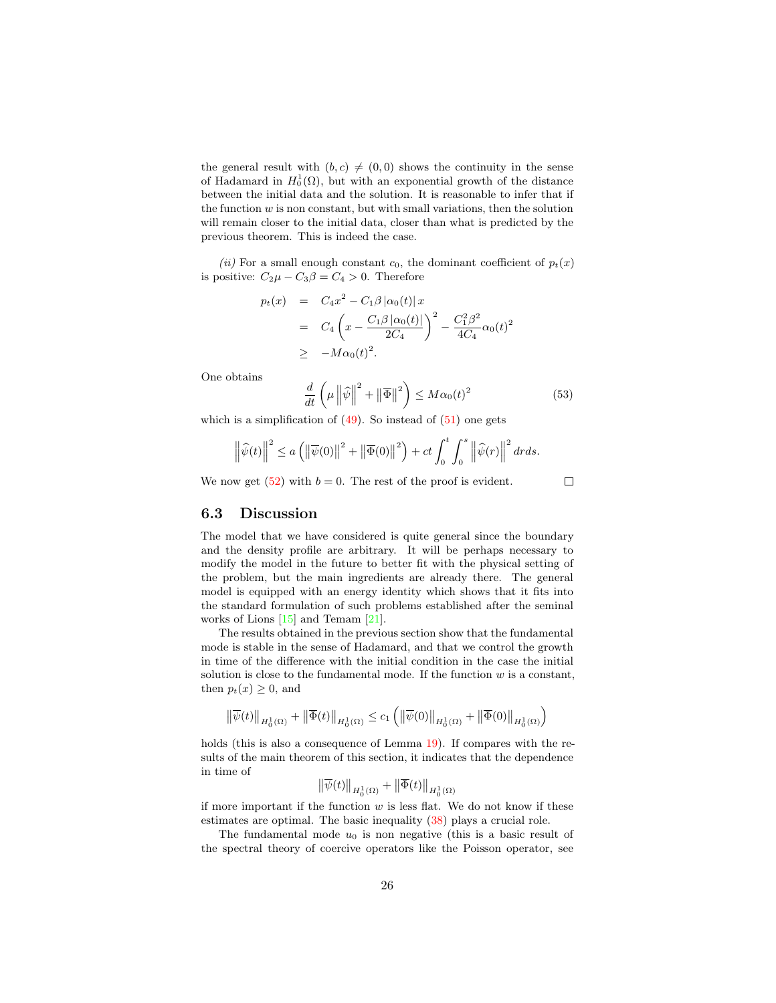the general result with  $(b, c) \neq (0, 0)$  shows the continuity in the sense of Hadamard in  $H_0^1(\Omega)$ , but with an exponential growth of the distance between the initial data and the solution. It is reasonable to infer that if the function  $w$  is non constant, but with small variations, then the solution will remain closer to the initial data, closer than what is predicted by the previous theorem. This is indeed the case.

*(ii)* For a small enough constant  $c_0$ , the dominant coefficient of  $p_t(x)$ is positive:  $C_2\mu - C_3\beta = C_4 > 0$ . Therefore

$$
p_t(x) = C_4 x^2 - C_1 \beta |\alpha_0(t)| x
$$
  
=  $C_4 \left( x - \frac{C_1 \beta |\alpha_0(t)|}{2C_4} \right)^2 - \frac{C_1^2 \beta^2}{4C_4} \alpha_0(t)^2$   
 $\geq -M \alpha_0(t)^2.$ 

One obtains

$$
\frac{d}{dt}\left(\mu \left\|\widehat{\psi}\right\|^2 + \left\|\overline{\Phi}\right\|^2\right) \le M\alpha_0(t)^2\tag{53}
$$

which is a simplification of  $(49)$ . So instead of  $(51)$  one gets

$$
\left\|\widehat{\psi}(t)\right\|^2 \le a \left(\left\|\overline{\psi}(0)\right\|^2 + \left\|\overline{\Phi}(0)\right\|^2\right) + ct \int_0^t \int_0^s \left\|\widehat{\psi}(r)\right\|^2 dr ds.
$$

We now get  $(52)$  with  $b = 0$ . The rest of the proof is evident.

#### $\Box$

#### 6.3 Discussion

The model that we have considered is quite general since the boundary and the density profile are arbitrary. It will be perhaps necessary to modify the model in the future to better fit with the physical setting of the problem, but the main ingredients are already there. The general model is equipped with an energy identity which shows that it fits into the standard formulation of such problems established after the seminal works of Lions [\[15\]](#page-27-5) and Temam [\[21\]](#page-27-6).

The results obtained in the previous section show that the fundamental mode is stable in the sense of Hadamard, and that we control the growth in time of the difference with the initial condition in the case the initial solution is close to the fundamental mode. If the function  $w$  is a constant, then  $p_t(x) \geq 0$ , and

$$
\big\Vert \overline{\psi}(t)\big\Vert_{H_0^1(\Omega)} + \big\Vert \overline{\Phi}(t)\big\Vert_{H_0^1(\Omega)} \leq c_1 \left(\big\Vert \overline{\psi}(0)\big\Vert_{H_0^1(\Omega)} + \big\Vert \overline{\Phi}(0)\big\Vert_{H_0^1(\Omega)}\right)
$$

holds (this is also a consequence of Lemma [19\)](#page-20-2). If compares with the results of the main theorem of this section, it indicates that the dependence in time of

$$
\big\|\overline{\psi}(t)\big\|_{H^1_0(\Omega)}+\big\|\overline{\Phi}(t)\big\|_{H^1_0(\Omega)}
$$

if more important if the function  $w$  is less flat. We do not know if these estimates are optimal. The basic inequality [\(38\)](#page-20-3) plays a crucial role.

The fundamental mode  $u_0$  is non negative (this is a basic result of the spectral theory of coercive operators like the Poisson operator, see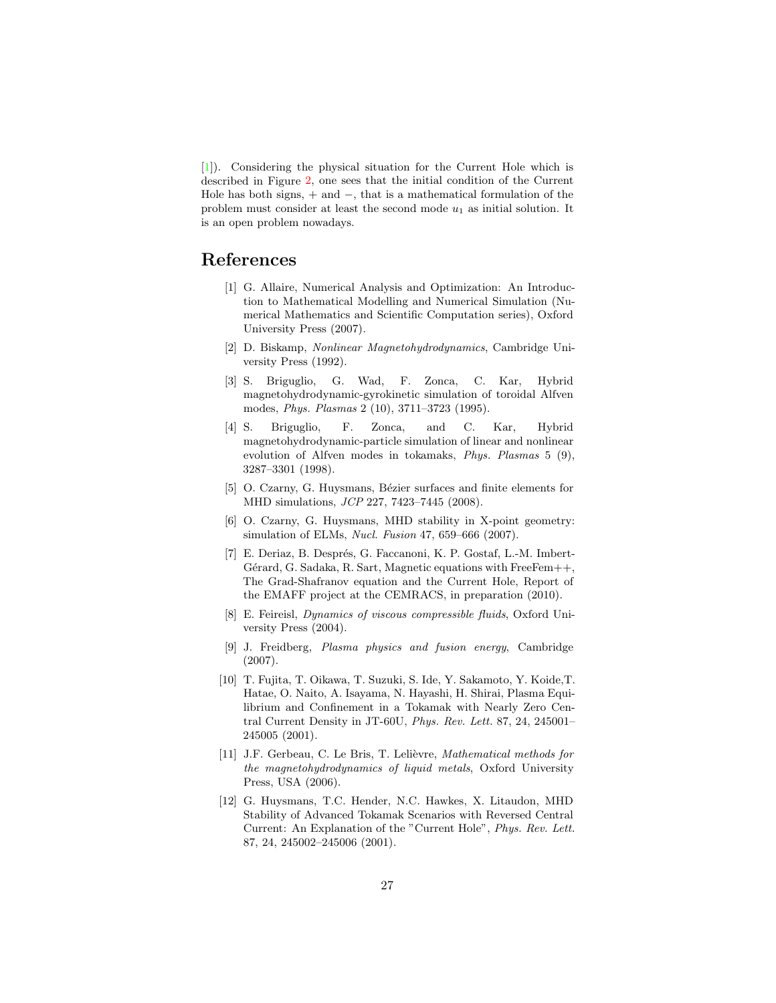[\[1\]](#page-26-11)). Considering the physical situation for the Current Hole which is described in Figure [2,](#page-1-1) one sees that the initial condition of the Current Hole has both signs,  $+$  and  $-$ , that is a mathematical formulation of the problem must consider at least the second mode  $u_1$  as initial solution. It is an open problem nowadays.

## <span id="page-26-11"></span><span id="page-26-4"></span>References

- [1] G. Allaire, Numerical Analysis and Optimization: An Introduction to Mathematical Modelling and Numerical Simulation (Numerical Mathematics and Scientific Computation series), Oxford University Press (2007).
- [2] D. Biskamp, *Nonlinear Magnetohydrodynamics*, Cambridge University Press (1992).
- <span id="page-26-5"></span>[3] S. Briguglio, G. Wad, F. Zonca, C. Kar, Hybrid magnetohydrodynamic-gyrokinetic simulation of toroidal Alfven modes, *Phys. Plasmas* 2 (10), 3711–3723 (1995).
- <span id="page-26-6"></span>[4] S. Briguglio, F. Zonca, and C. Kar, Hybrid magnetohydrodynamic-particle simulation of linear and nonlinear evolution of Alfven modes in tokamaks, *Phys. Plasmas* 5 (9), 3287–3301 (1998).
- <span id="page-26-1"></span>[5] O. Czarny, G. Huysmans, Bézier surfaces and finite elements for MHD simulations, *JCP* 227, 7423–7445 (2008).
- <span id="page-26-8"></span>[6] O. Czarny, G. Huysmans, MHD stability in X-point geometry: simulation of ELMs, *Nucl. Fusion* 47, 659–666 (2007).
- <span id="page-26-7"></span>[7] E. Deriaz, B. Després, G. Faccanoni, K. P. Gostaf, L.-M. Imbert-Gérard, G. Sadaka, R. Sart, Magnetic equations with FreeFem $++$ . The Grad-Shafranov equation and the Current Hole, Report of the EMAFF project at the CEMRACS, in preparation (2010).
- <span id="page-26-10"></span>[8] E. Feireisl, *Dynamics of viscous compressible fluids*, Oxford University Press (2004).
- <span id="page-26-0"></span>[9] J. Freidberg, *Plasma physics and fusion energy*, Cambridge (2007).
- <span id="page-26-3"></span>[10] T. Fujita, T. Oikawa, T. Suzuki, S. Ide, Y. Sakamoto, Y. Koide,T. Hatae, O. Naito, A. Isayama, N. Hayashi, H. Shirai, Plasma Equilibrium and Confinement in a Tokamak with Nearly Zero Central Current Density in JT-60U, *Phys. Rev. Lett.* 87, 24, 245001– 245005 (2001).
- <span id="page-26-9"></span>[11] J.F. Gerbeau, C. Le Bris, T. Lelièvre, *Mathematical methods for the magnetohydrodynamics of liquid metals*, Oxford University Press, USA (2006).
- <span id="page-26-2"></span>[12] G. Huysmans, T.C. Hender, N.C. Hawkes, X. Litaudon, MHD Stability of Advanced Tokamak Scenarios with Reversed Central Current: An Explanation of the "Current Hole", *Phys. Rev. Lett.* 87, 24, 245002–245006 (2001).